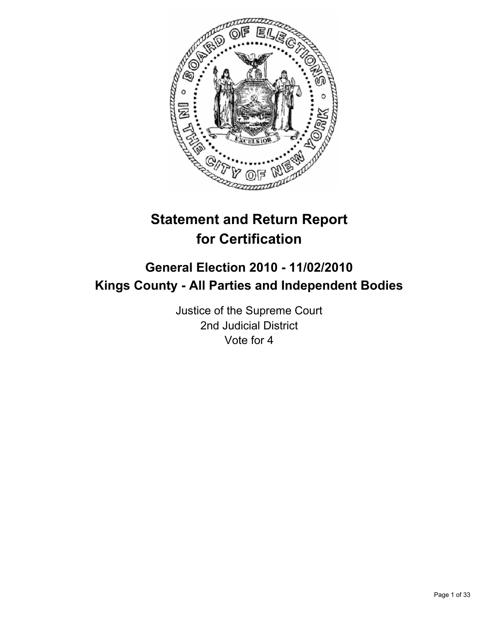

# **Statement and Return Report for Certification**

# **General Election 2010 - 11/02/2010 Kings County - All Parties and Independent Bodies**

Justice of the Supreme Court 2nd Judicial District Vote for 4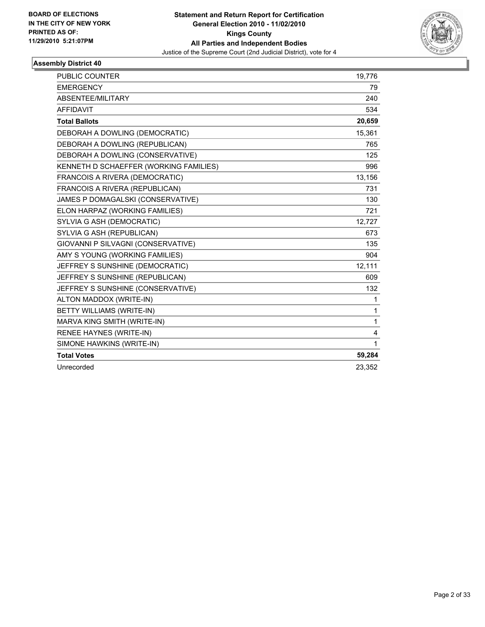

| <b>PUBLIC COUNTER</b>                  | 19,776       |
|----------------------------------------|--------------|
| <b>EMERGENCY</b>                       | 79           |
| ABSENTEE/MILITARY                      | 240          |
| <b>AFFIDAVIT</b>                       | 534          |
| <b>Total Ballots</b>                   | 20,659       |
| DEBORAH A DOWLING (DEMOCRATIC)         | 15,361       |
| DEBORAH A DOWLING (REPUBLICAN)         | 765          |
| DEBORAH A DOWLING (CONSERVATIVE)       | 125          |
| KENNETH D SCHAEFFER (WORKING FAMILIES) | 996          |
| FRANCOIS A RIVERA (DEMOCRATIC)         | 13,156       |
| FRANCOIS A RIVERA (REPUBLICAN)         | 731          |
| JAMES P DOMAGALSKI (CONSERVATIVE)      | 130          |
| ELON HARPAZ (WORKING FAMILIES)         | 721          |
| SYLVIA G ASH (DEMOCRATIC)              | 12,727       |
| SYLVIA G ASH (REPUBLICAN)              | 673          |
| GIOVANNI P SILVAGNI (CONSERVATIVE)     | 135          |
| AMY S YOUNG (WORKING FAMILIES)         | 904          |
| JEFFREY S SUNSHINE (DEMOCRATIC)        | 12,111       |
| JEFFREY S SUNSHINE (REPUBLICAN)        | 609          |
| JEFFREY S SUNSHINE (CONSERVATIVE)      | 132          |
| ALTON MADDOX (WRITE-IN)                | 1            |
| BETTY WILLIAMS (WRITE-IN)              | $\mathbf{1}$ |
| MARVA KING SMITH (WRITE-IN)            | $\mathbf{1}$ |
| RENEE HAYNES (WRITE-IN)                | 4            |
| SIMONE HAWKINS (WRITE-IN)              | $\mathbf{1}$ |
| <b>Total Votes</b>                     | 59,284       |
| Unrecorded                             | 23.352       |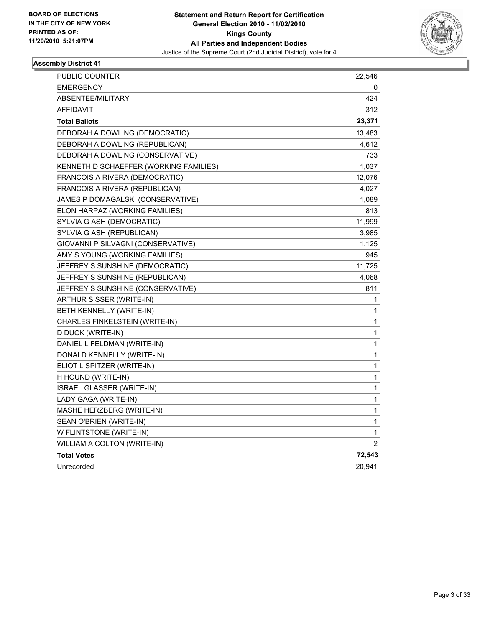

| <b>PUBLIC COUNTER</b>                  | 22,546         |
|----------------------------------------|----------------|
| <b>EMERGENCY</b>                       | 0              |
| ABSENTEE/MILITARY                      | 424            |
| <b>AFFIDAVIT</b>                       | 312            |
| <b>Total Ballots</b>                   | 23,371         |
| DEBORAH A DOWLING (DEMOCRATIC)         | 13,483         |
| DEBORAH A DOWLING (REPUBLICAN)         | 4,612          |
| DEBORAH A DOWLING (CONSERVATIVE)       | 733            |
| KENNETH D SCHAEFFER (WORKING FAMILIES) | 1,037          |
| FRANCOIS A RIVERA (DEMOCRATIC)         | 12,076         |
| FRANCOIS A RIVERA (REPUBLICAN)         | 4,027          |
| JAMES P DOMAGALSKI (CONSERVATIVE)      | 1,089          |
| ELON HARPAZ (WORKING FAMILIES)         | 813            |
| SYLVIA G ASH (DEMOCRATIC)              | 11,999         |
| SYLVIA G ASH (REPUBLICAN)              | 3,985          |
| GIOVANNI P SILVAGNI (CONSERVATIVE)     | 1,125          |
| AMY S YOUNG (WORKING FAMILIES)         | 945            |
| JEFFREY S SUNSHINE (DEMOCRATIC)        | 11,725         |
| JEFFREY S SUNSHINE (REPUBLICAN)        | 4,068          |
| JEFFREY S SUNSHINE (CONSERVATIVE)      | 811            |
| ARTHUR SISSER (WRITE-IN)               | 1              |
| BETH KENNELLY (WRITE-IN)               | 1              |
| CHARLES FINKELSTEIN (WRITE-IN)         | 1              |
| D DUCK (WRITE-IN)                      | 1              |
| DANIEL L FELDMAN (WRITE-IN)            | 1              |
| DONALD KENNELLY (WRITE-IN)             | 1              |
| ELIOT L SPITZER (WRITE-IN)             | 1              |
| H HOUND (WRITE-IN)                     | 1              |
| <b>ISRAEL GLASSER (WRITE-IN)</b>       | 1              |
| LADY GAGA (WRITE-IN)                   | 1              |
| MASHE HERZBERG (WRITE-IN)              | $\mathbf{1}$   |
| SEAN O'BRIEN (WRITE-IN)                | 1              |
| W FLINTSTONE (WRITE-IN)                | 1              |
| WILLIAM A COLTON (WRITE-IN)            | $\overline{2}$ |
| <b>Total Votes</b>                     | 72,543         |
| Unrecorded                             | 20,941         |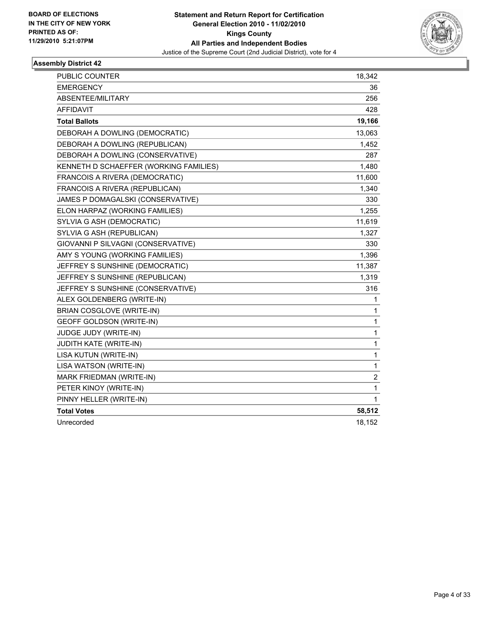

| PUBLIC COUNTER                         | 18,342                  |
|----------------------------------------|-------------------------|
| <b>EMERGENCY</b>                       | 36                      |
| ABSENTEE/MILITARY                      | 256                     |
| AFFIDAVIT                              | 428                     |
| <b>Total Ballots</b>                   | 19,166                  |
| DEBORAH A DOWLING (DEMOCRATIC)         | 13,063                  |
| DEBORAH A DOWLING (REPUBLICAN)         | 1,452                   |
| DEBORAH A DOWLING (CONSERVATIVE)       | 287                     |
| KENNETH D SCHAEFFER (WORKING FAMILIES) | 1,480                   |
| FRANCOIS A RIVERA (DEMOCRATIC)         | 11,600                  |
| FRANCOIS A RIVERA (REPUBLICAN)         | 1,340                   |
| JAMES P DOMAGALSKI (CONSERVATIVE)      | 330                     |
| ELON HARPAZ (WORKING FAMILIES)         | 1,255                   |
| SYLVIA G ASH (DEMOCRATIC)              | 11,619                  |
| SYLVIA G ASH (REPUBLICAN)              | 1,327                   |
| GIOVANNI P SILVAGNI (CONSERVATIVE)     | 330                     |
| AMY S YOUNG (WORKING FAMILIES)         | 1,396                   |
| JEFFREY S SUNSHINE (DEMOCRATIC)        | 11,387                  |
| JEFFREY S SUNSHINE (REPUBLICAN)        | 1,319                   |
| JEFFREY S SUNSHINE (CONSERVATIVE)      | 316                     |
| ALEX GOLDENBERG (WRITE-IN)             | 1                       |
| <b>BRIAN COSGLOVE (WRITE-IN)</b>       | 1                       |
| <b>GEOFF GOLDSON (WRITE-IN)</b>        | 1                       |
| JUDGE JUDY (WRITE-IN)                  | 1                       |
| JUDITH KATE (WRITE-IN)                 | 1                       |
| LISA KUTUN (WRITE-IN)                  | 1                       |
| LISA WATSON (WRITE-IN)                 | $\mathbf{1}$            |
| MARK FRIEDMAN (WRITE-IN)               | $\overline{\mathbf{c}}$ |
| PETER KINOY (WRITE-IN)                 | $\mathbf{1}$            |
| PINNY HELLER (WRITE-IN)                | 1                       |
| <b>Total Votes</b>                     | 58,512                  |
| Unrecorded                             | 18,152                  |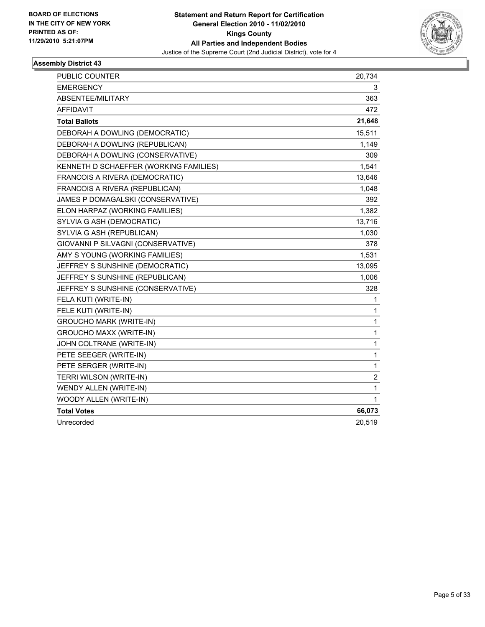

| <b>PUBLIC COUNTER</b>                  | 20,734                  |
|----------------------------------------|-------------------------|
| <b>EMERGENCY</b>                       | 3                       |
| ABSENTEE/MILITARY                      | 363                     |
| <b>AFFIDAVIT</b>                       | 472                     |
| <b>Total Ballots</b>                   | 21,648                  |
| DEBORAH A DOWLING (DEMOCRATIC)         | 15,511                  |
| DEBORAH A DOWLING (REPUBLICAN)         | 1,149                   |
| DEBORAH A DOWLING (CONSERVATIVE)       | 309                     |
| KENNETH D SCHAEFFER (WORKING FAMILIES) | 1,541                   |
| FRANCOIS A RIVERA (DEMOCRATIC)         | 13,646                  |
| FRANCOIS A RIVERA (REPUBLICAN)         | 1,048                   |
| JAMES P DOMAGALSKI (CONSERVATIVE)      | 392                     |
| ELON HARPAZ (WORKING FAMILIES)         | 1,382                   |
| SYLVIA G ASH (DEMOCRATIC)              | 13,716                  |
| SYLVIA G ASH (REPUBLICAN)              | 1,030                   |
| GIOVANNI P SILVAGNI (CONSERVATIVE)     | 378                     |
| AMY S YOUNG (WORKING FAMILIES)         | 1,531                   |
| JEFFREY S SUNSHINE (DEMOCRATIC)        | 13,095                  |
| JEFFREY S SUNSHINE (REPUBLICAN)        | 1,006                   |
| JEFFREY S SUNSHINE (CONSERVATIVE)      | 328                     |
| FELA KUTI (WRITE-IN)                   | 1                       |
| FELE KUTI (WRITE-IN)                   | 1                       |
| <b>GROUCHO MARK (WRITE-IN)</b>         | 1                       |
| GROUCHO MAXX (WRITE-IN)                | 1                       |
| JOHN COLTRANE (WRITE-IN)               | $\mathbf{1}$            |
| PETE SEEGER (WRITE-IN)                 | 1                       |
| PETE SERGER (WRITE-IN)                 | 1                       |
| TERRI WILSON (WRITE-IN)                | $\overline{\mathbf{c}}$ |
| WENDY ALLEN (WRITE-IN)                 | $\mathbf{1}$            |
| WOODY ALLEN (WRITE-IN)                 | 1                       |
| <b>Total Votes</b>                     | 66,073                  |
| Unrecorded                             | 20,519                  |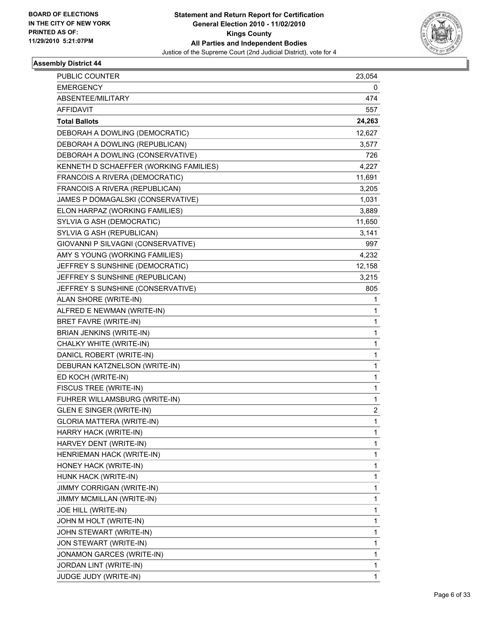

| PUBLIC COUNTER                         | 23,054 |
|----------------------------------------|--------|
| <b>EMERGENCY</b>                       | 0      |
| ABSENTEE/MILITARY                      | 474    |
| <b>AFFIDAVIT</b>                       | 557    |
| <b>Total Ballots</b>                   | 24,263 |
| DEBORAH A DOWLING (DEMOCRATIC)         | 12,627 |
| DEBORAH A DOWLING (REPUBLICAN)         | 3,577  |
| DEBORAH A DOWLING (CONSERVATIVE)       | 726    |
| KENNETH D SCHAEFFER (WORKING FAMILIES) | 4,227  |
| FRANCOIS A RIVERA (DEMOCRATIC)         | 11,691 |
| FRANCOIS A RIVERA (REPUBLICAN)         | 3,205  |
| JAMES P DOMAGALSKI (CONSERVATIVE)      | 1,031  |
| ELON HARPAZ (WORKING FAMILIES)         | 3,889  |
| SYLVIA G ASH (DEMOCRATIC)              | 11,650 |
| SYLVIA G ASH (REPUBLICAN)              | 3,141  |
| GIOVANNI P SILVAGNI (CONSERVATIVE)     | 997    |
| AMY S YOUNG (WORKING FAMILIES)         | 4,232  |
| JEFFREY S SUNSHINE (DEMOCRATIC)        | 12,158 |
| JEFFREY S SUNSHINE (REPUBLICAN)        | 3,215  |
| JEFFREY S SUNSHINE (CONSERVATIVE)      | 805    |
| ALAN SHORE (WRITE-IN)                  | 1      |
| ALFRED E NEWMAN (WRITE-IN)             | 1      |
| BRET FAVRE (WRITE-IN)                  | 1      |
| BRIAN JENKINS (WRITE-IN)               | 1      |
| CHALKY WHITE (WRITE-IN)                | 1      |
| DANICL ROBERT (WRITE-IN)               | 1      |
| DEBURAN KATZNELSON (WRITE-IN)          | 1      |
| ED KOCH (WRITE-IN)                     | 1      |
| FISCUS TREE (WRITE-IN)                 | 1      |
| FUHRER WILLAMSBURG (WRITE-IN)          | 1      |
| <b>GLEN E SINGER (WRITE-IN)</b>        | 2      |
| <b>GLORIA MATTERA (WRITE-IN)</b>       | 1      |
| HARRY HACK (WRITE-IN)                  | 1      |
| HARVEY DENT (WRITE-IN)                 | 1      |
| HENRIEMAN HACK (WRITE-IN)              | 1      |
| HONEY HACK (WRITE-IN)                  | 1      |
| HUNK HACK (WRITE-IN)                   | 1      |
| JIMMY CORRIGAN (WRITE-IN)              | 1      |
| JIMMY MCMILLAN (WRITE-IN)              | 1      |
| JOE HILL (WRITE-IN)                    | 1      |
| JOHN M HOLT (WRITE-IN)                 | 1      |
| JOHN STEWART (WRITE-IN)                | 1      |
| JON STEWART (WRITE-IN)                 | 1      |
| JONAMON GARCES (WRITE-IN)              | 1      |
| JORDAN LINT (WRITE-IN)                 | 1      |
| JUDGE JUDY (WRITE-IN)                  | 1      |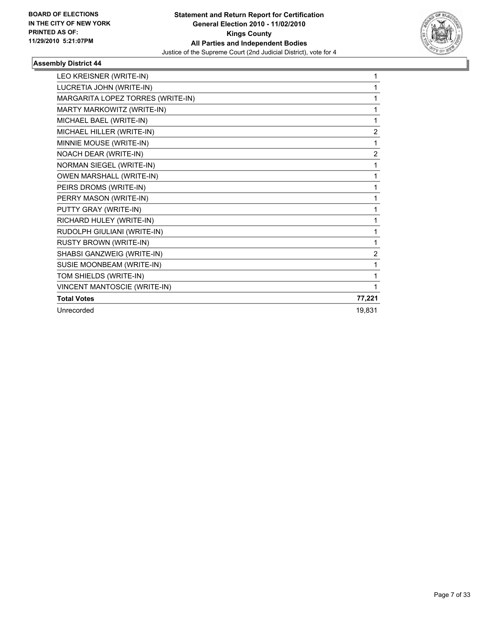

| LEO KREISNER (WRITE-IN)           | 1              |
|-----------------------------------|----------------|
| LUCRETIA JOHN (WRITE-IN)          | 1              |
| MARGARITA LOPEZ TORRES (WRITE-IN) | 1              |
| MARTY MARKOWITZ (WRITE-IN)        | 1              |
| MICHAEL BAEL (WRITE-IN)           | 1              |
| MICHAEL HILLER (WRITE-IN)         | $\overline{2}$ |
| MINNIE MOUSE (WRITE-IN)           | 1              |
| NOACH DEAR (WRITE-IN)             | $\overline{2}$ |
| NORMAN SIEGEL (WRITE-IN)          | 1              |
| <b>OWEN MARSHALL (WRITE-IN)</b>   | 1              |
| PEIRS DROMS (WRITE-IN)            | 1              |
| PERRY MASON (WRITE-IN)            | 1              |
| PUTTY GRAY (WRITE-IN)             | 1              |
| RICHARD HULEY (WRITE-IN)          | 1              |
| RUDOLPH GIULIANI (WRITE-IN)       | 1              |
| <b>RUSTY BROWN (WRITE-IN)</b>     | 1              |
| SHABSI GANZWEIG (WRITE-IN)        | $\overline{2}$ |
| SUSIE MOONBEAM (WRITE-IN)         | 1              |
| TOM SHIELDS (WRITE-IN)            | 1              |
| VINCENT MANTOSCIE (WRITE-IN)      | 1              |
| <b>Total Votes</b>                | 77,221         |
| Unrecorded                        | 19,831         |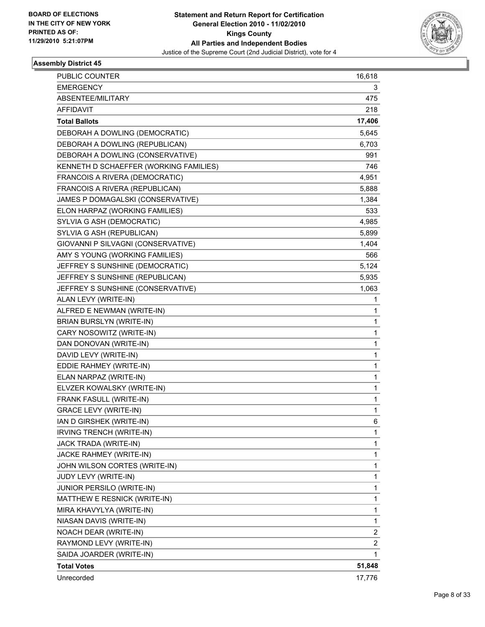

| PUBLIC COUNTER<br><b>EMERGENCY</b>     | 16,618<br>3    |
|----------------------------------------|----------------|
| ABSENTEE/MILITARY                      | 475            |
| <b>AFFIDAVIT</b>                       | 218            |
| <b>Total Ballots</b>                   | 17,406         |
| DEBORAH A DOWLING (DEMOCRATIC)         | 5,645          |
| DEBORAH A DOWLING (REPUBLICAN)         | 6,703          |
| DEBORAH A DOWLING (CONSERVATIVE)       | 991            |
| KENNETH D SCHAEFFER (WORKING FAMILIES) | 746            |
| FRANCOIS A RIVERA (DEMOCRATIC)         | 4,951          |
| FRANCOIS A RIVERA (REPUBLICAN)         | 5,888          |
| JAMES P DOMAGALSKI (CONSERVATIVE)      | 1,384          |
| ELON HARPAZ (WORKING FAMILIES)         | 533            |
| SYLVIA G ASH (DEMOCRATIC)              | 4,985          |
| SYLVIA G ASH (REPUBLICAN)              | 5,899          |
| GIOVANNI P SILVAGNI (CONSERVATIVE)     | 1,404          |
| AMY S YOUNG (WORKING FAMILIES)         | 566            |
| JEFFREY S SUNSHINE (DEMOCRATIC)        | 5,124          |
| JEFFREY S SUNSHINE (REPUBLICAN)        | 5,935          |
| JEFFREY S SUNSHINE (CONSERVATIVE)      | 1,063          |
| ALAN LEVY (WRITE-IN)                   | 1              |
| ALFRED E NEWMAN (WRITE-IN)             | 1              |
| BRIAN BURSLYN (WRITE-IN)               | 1              |
| CARY NOSOWITZ (WRITE-IN)               | 1              |
| DAN DONOVAN (WRITE-IN)                 | 1              |
| DAVID LEVY (WRITE-IN)                  | 1              |
| EDDIE RAHMEY (WRITE-IN)                | 1              |
| ELAN NARPAZ (WRITE-IN)                 | 1              |
| ELVZER KOWALSKY (WRITE-IN)             | 1              |
| FRANK FASULL (WRITE-IN)                | 1              |
| <b>GRACE LEVY (WRITE-IN)</b>           | 1              |
| IAN D GIRSHEK (WRITE-IN)               | 6              |
| IRVING TRENCH (WRITE-IN)               | 1              |
| JACK TRADA (WRITE-IN)                  | 1              |
| JACKE RAHMEY (WRITE-IN)                | 1              |
| JOHN WILSON CORTES (WRITE-IN)          | 1              |
| JUDY LEVY (WRITE-IN)                   | 1              |
| JUNIOR PERSILO (WRITE-IN)              | 1              |
| MATTHEW E RESNICK (WRITE-IN)           | 1              |
| MIRA KHAVYLYA (WRITE-IN)               | 1              |
| NIASAN DAVIS (WRITE-IN)                | 1              |
| NOACH DEAR (WRITE-IN)                  | $\overline{c}$ |
| RAYMOND LEVY (WRITE-IN)                | 2              |
| SAIDA JOARDER (WRITE-IN)               | 1.             |
| <b>Total Votes</b>                     | 51,848         |
| Unrecorded                             | 17,776         |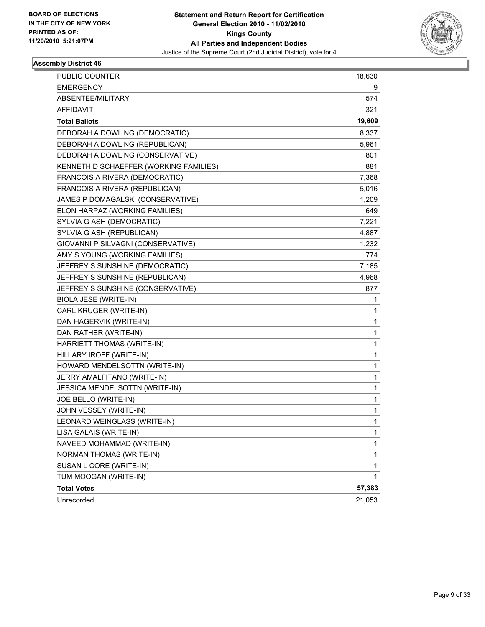

| PUBLIC COUNTER                         | 18,630 |
|----------------------------------------|--------|
| <b>EMERGENCY</b>                       | 9      |
| ABSENTEE/MILITARY                      | 574    |
| <b>AFFIDAVIT</b>                       | 321    |
| <b>Total Ballots</b>                   | 19,609 |
| DEBORAH A DOWLING (DEMOCRATIC)         | 8,337  |
| DEBORAH A DOWLING (REPUBLICAN)         | 5,961  |
| DEBORAH A DOWLING (CONSERVATIVE)       | 801    |
| KENNETH D SCHAEFFER (WORKING FAMILIES) | 881    |
| FRANCOIS A RIVERA (DEMOCRATIC)         | 7,368  |
| FRANCOIS A RIVERA (REPUBLICAN)         | 5,016  |
| JAMES P DOMAGALSKI (CONSERVATIVE)      | 1,209  |
| ELON HARPAZ (WORKING FAMILIES)         | 649    |
| SYLVIA G ASH (DEMOCRATIC)              | 7,221  |
| SYLVIA G ASH (REPUBLICAN)              | 4,887  |
| GIOVANNI P SILVAGNI (CONSERVATIVE)     | 1,232  |
| AMY S YOUNG (WORKING FAMILIES)         | 774    |
| JEFFREY S SUNSHINE (DEMOCRATIC)        | 7,185  |
| JEFFREY S SUNSHINE (REPUBLICAN)        | 4,968  |
| JEFFREY S SUNSHINE (CONSERVATIVE)      | 877    |
| BIOLA JESE (WRITE-IN)                  | 1      |
| CARL KRUGER (WRITE-IN)                 | 1      |
| DAN HAGERVIK (WRITE-IN)                | 1      |
| DAN RATHER (WRITE-IN)                  | 1      |
| HARRIETT THOMAS (WRITE-IN)             | 1      |
| HILLARY IROFF (WRITE-IN)               | 1      |
| HOWARD MENDELSOTTN (WRITE-IN)          | 1      |
| JERRY AMALFITANO (WRITE-IN)            | 1      |
| JESSICA MENDELSOTTN (WRITE-IN)         | 1      |
| JOE BELLO (WRITE-IN)                   | 1      |
| JOHN VESSEY (WRITE-IN)                 | 1      |
| LEONARD WEINGLASS (WRITE-IN)           | 1      |
| LISA GALAIS (WRITE-IN)                 | 1      |
| NAVEED MOHAMMAD (WRITE-IN)             | 1      |
| NORMAN THOMAS (WRITE-IN)               | 1      |
| SUSAN L CORE (WRITE-IN)                | 1      |
| TUM MOOGAN (WRITE-IN)                  | 1      |
| <b>Total Votes</b>                     | 57,383 |
| Unrecorded                             | 21,053 |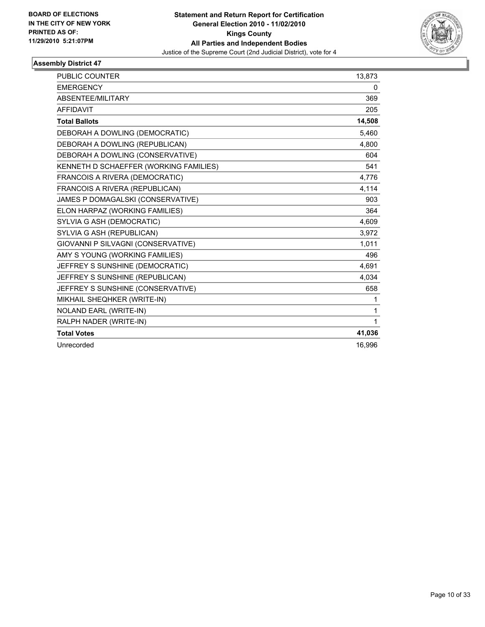

| PUBLIC COUNTER                         | 13,873       |
|----------------------------------------|--------------|
| <b>EMERGENCY</b>                       | 0            |
| ABSENTEE/MILITARY                      | 369          |
| <b>AFFIDAVIT</b>                       | 205          |
| <b>Total Ballots</b>                   | 14,508       |
| DEBORAH A DOWLING (DEMOCRATIC)         | 5,460        |
| DEBORAH A DOWLING (REPUBLICAN)         | 4,800        |
| DEBORAH A DOWLING (CONSERVATIVE)       | 604          |
| KENNETH D SCHAEFFER (WORKING FAMILIES) | 541          |
| FRANCOIS A RIVERA (DEMOCRATIC)         | 4,776        |
| FRANCOIS A RIVERA (REPUBLICAN)         | 4,114        |
| JAMES P DOMAGALSKI (CONSERVATIVE)      | 903          |
| ELON HARPAZ (WORKING FAMILIES)         | 364          |
| SYLVIA G ASH (DEMOCRATIC)              | 4,609        |
| SYLVIA G ASH (REPUBLICAN)              | 3,972        |
| GIOVANNI P SILVAGNI (CONSERVATIVE)     | 1,011        |
| AMY S YOUNG (WORKING FAMILIES)         | 496          |
| JEFFREY S SUNSHINE (DEMOCRATIC)        | 4,691        |
| JEFFREY S SUNSHINE (REPUBLICAN)        | 4,034        |
| JEFFREY S SUNSHINE (CONSERVATIVE)      | 658          |
| MIKHAIL SHEQHKER (WRITE-IN)            | 1            |
| <b>NOLAND EARL (WRITE-IN)</b>          | 1            |
| RALPH NADER (WRITE-IN)                 | $\mathbf{1}$ |
| <b>Total Votes</b>                     | 41,036       |
| Unrecorded                             | 16,996       |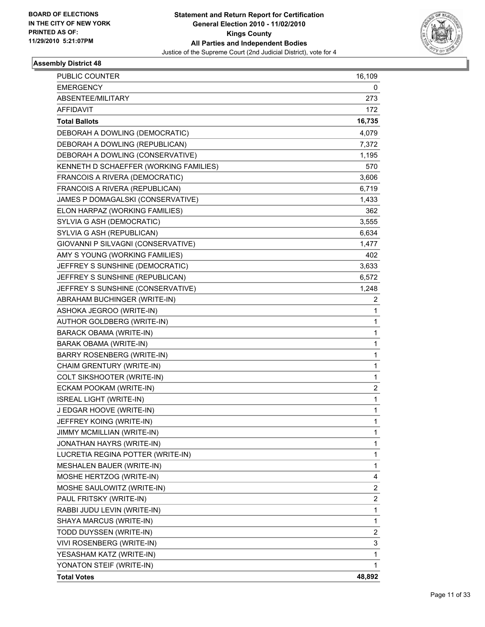

| PUBLIC COUNTER                         | 16,109         |
|----------------------------------------|----------------|
| <b>EMERGENCY</b>                       | 0              |
| ABSENTEE/MILITARY                      | 273            |
| <b>AFFIDAVIT</b>                       | 172            |
| <b>Total Ballots</b>                   | 16,735         |
| DEBORAH A DOWLING (DEMOCRATIC)         | 4,079          |
| DEBORAH A DOWLING (REPUBLICAN)         | 7,372          |
| DEBORAH A DOWLING (CONSERVATIVE)       | 1,195          |
| KENNETH D SCHAEFFER (WORKING FAMILIES) | 570            |
| FRANCOIS A RIVERA (DEMOCRATIC)         | 3,606          |
| FRANCOIS A RIVERA (REPUBLICAN)         | 6,719          |
| JAMES P DOMAGALSKI (CONSERVATIVE)      | 1,433          |
| ELON HARPAZ (WORKING FAMILIES)         | 362            |
| SYLVIA G ASH (DEMOCRATIC)              | 3,555          |
| SYLVIA G ASH (REPUBLICAN)              | 6,634          |
| GIOVANNI P SILVAGNI (CONSERVATIVE)     | 1,477          |
| AMY S YOUNG (WORKING FAMILIES)         | 402            |
| JEFFREY S SUNSHINE (DEMOCRATIC)        | 3,633          |
| JEFFREY S SUNSHINE (REPUBLICAN)        | 6,572          |
| JEFFREY S SUNSHINE (CONSERVATIVE)      | 1,248          |
| ABRAHAM BUCHINGER (WRITE-IN)           | 2              |
| ASHOKA JEGROO (WRITE-IN)               | 1              |
| AUTHOR GOLDBERG (WRITE-IN)             | 1              |
| BARACK OBAMA (WRITE-IN)                | 1              |
| BARAK OBAMA (WRITE-IN)                 | 1              |
| BARRY ROSENBERG (WRITE-IN)             | 1              |
| CHAIM GRENTURY (WRITE-IN)              | 1              |
| COLT SIKSHOOTER (WRITE-IN)             | 1              |
| ECKAM POOKAM (WRITE-IN)                | 2              |
| <b>ISREAL LIGHT (WRITE-IN)</b>         | 1              |
| J EDGAR HOOVE (WRITE-IN)               | 1              |
| JEFFREY KOING (WRITE-IN)               | 1              |
| JIMMY MCMILLIAN (WRITE-IN)             | 1              |
| JONATHAN HAYRS (WRITE-IN)              | 1              |
| LUCRETIA REGINA POTTER (WRITE-IN)      | 1              |
| <b>MESHALEN BAUER (WRITE-IN)</b>       | 1              |
| MOSHE HERTZOG (WRITE-IN)               | 4              |
| MOSHE SAULOWITZ (WRITE-IN)             | 2              |
| PAUL FRITSKY (WRITE-IN)                | $\overline{2}$ |
| RABBI JUDU LEVIN (WRITE-IN)            | 1              |
| SHAYA MARCUS (WRITE-IN)                | 1              |
| TODD DUYSSEN (WRITE-IN)                | 2              |
| VIVI ROSENBERG (WRITE-IN)              | 3              |
| YESASHAM KATZ (WRITE-IN)               | 1              |
| YONATON STEIF (WRITE-IN)               | 1              |
| <b>Total Votes</b>                     | 48,892         |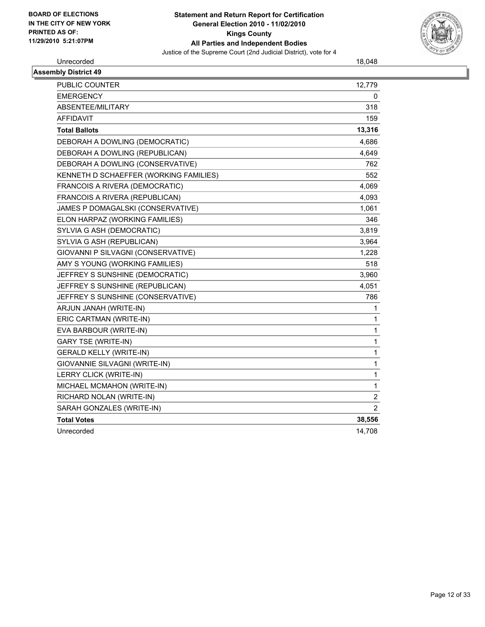

# Unrecorded 18,048

| <b>Assembly District 49</b>            |                |
|----------------------------------------|----------------|
| <b>PUBLIC COUNTER</b>                  | 12,779         |
| <b>EMERGENCY</b>                       | 0              |
| ABSENTEE/MILITARY                      | 318            |
| <b>AFFIDAVIT</b>                       | 159            |
| <b>Total Ballots</b>                   | 13,316         |
| DEBORAH A DOWLING (DEMOCRATIC)         | 4,686          |
| DEBORAH A DOWLING (REPUBLICAN)         | 4,649          |
| DEBORAH A DOWLING (CONSERVATIVE)       | 762            |
| KENNETH D SCHAEFFER (WORKING FAMILIES) | 552            |
| FRANCOIS A RIVERA (DEMOCRATIC)         | 4,069          |
| FRANCOIS A RIVERA (REPUBLICAN)         | 4,093          |
| JAMES P DOMAGALSKI (CONSERVATIVE)      | 1,061          |
| ELON HARPAZ (WORKING FAMILIES)         | 346            |
| SYLVIA G ASH (DEMOCRATIC)              | 3,819          |
| SYLVIA G ASH (REPUBLICAN)              | 3,964          |
| GIOVANNI P SILVAGNI (CONSERVATIVE)     | 1,228          |
| AMY S YOUNG (WORKING FAMILIES)         | 518            |
| JEFFREY S SUNSHINE (DEMOCRATIC)        | 3,960          |
| JEFFREY S SUNSHINE (REPUBLICAN)        | 4,051          |
| JEFFREY S SUNSHINE (CONSERVATIVE)      | 786            |
| ARJUN JANAH (WRITE-IN)                 | 1              |
| ERIC CARTMAN (WRITE-IN)                | 1              |
| EVA BARBOUR (WRITE-IN)                 | 1              |
| <b>GARY TSE (WRITE-IN)</b>             | 1              |
| <b>GERALD KELLY (WRITE-IN)</b>         | 1              |
| GIOVANNIE SILVAGNI (WRITE-IN)          | 1              |
| LERRY CLICK (WRITE-IN)                 | $\mathbf{1}$   |
| MICHAEL MCMAHON (WRITE-IN)             | 1              |
| RICHARD NOLAN (WRITE-IN)               | $\overline{2}$ |
| SARAH GONZALES (WRITE-IN)              | $\overline{2}$ |
| <b>Total Votes</b>                     | 38,556         |
| Unrecorded                             | 14,708         |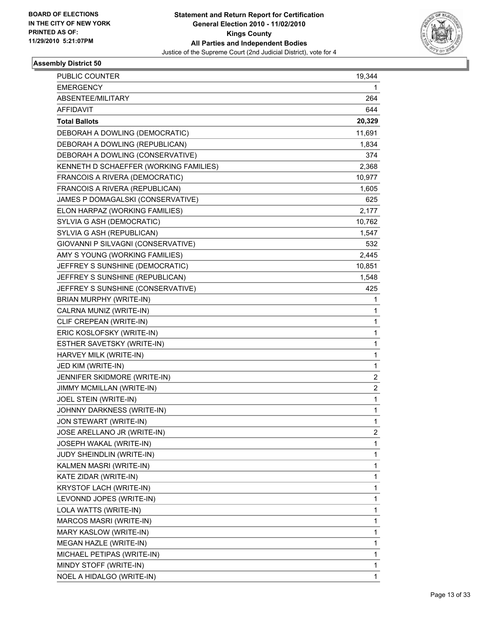

| <b>PUBLIC COUNTER</b>                  | 19,344      |
|----------------------------------------|-------------|
| <b>EMERGENCY</b>                       | 1           |
| ABSENTEE/MILITARY                      | 264         |
| <b>AFFIDAVIT</b>                       | 644         |
| <b>Total Ballots</b>                   | 20,329      |
| DEBORAH A DOWLING (DEMOCRATIC)         | 11,691      |
| DEBORAH A DOWLING (REPUBLICAN)         | 1,834       |
| DEBORAH A DOWLING (CONSERVATIVE)       | 374         |
| KENNETH D SCHAEFFER (WORKING FAMILIES) | 2,368       |
| FRANCOIS A RIVERA (DEMOCRATIC)         | 10,977      |
| FRANCOIS A RIVERA (REPUBLICAN)         | 1,605       |
| JAMES P DOMAGALSKI (CONSERVATIVE)      | 625         |
| ELON HARPAZ (WORKING FAMILIES)         | 2,177       |
| SYLVIA G ASH (DEMOCRATIC)              | 10,762      |
| SYLVIA G ASH (REPUBLICAN)              | 1,547       |
| GIOVANNI P SILVAGNI (CONSERVATIVE)     | 532         |
| AMY S YOUNG (WORKING FAMILIES)         | 2,445       |
| JEFFREY S SUNSHINE (DEMOCRATIC)        | 10,851      |
| JEFFREY S SUNSHINE (REPUBLICAN)        | 1,548       |
| JEFFREY S SUNSHINE (CONSERVATIVE)      | 425         |
| BRIAN MURPHY (WRITE-IN)                | 1           |
| CALRNA MUNIZ (WRITE-IN)                | 1           |
| CLIF CREPEAN (WRITE-IN)                | 1           |
| ERIC KOSLOFSKY (WRITE-IN)              | 1           |
| ESTHER SAVETSKY (WRITE-IN)             | 1           |
| HARVEY MILK (WRITE-IN)                 | 1           |
| JED KIM (WRITE-IN)                     | 1           |
| JENNIFER SKIDMORE (WRITE-IN)           | 2           |
| JIMMY MCMILLAN (WRITE-IN)              | 2           |
| JOEL STEIN (WRITE-IN)                  | 1           |
| JOHNNY DARKNESS (WRITE-IN)             | $\mathbf 1$ |
| JON STEWART (WRITE-IN)                 | 1           |
| JOSE ARELLANO JR (WRITE-IN)            | 2           |
| JOSEPH WAKAL (WRITE-IN)                | 1           |
| JUDY SHEINDLIN (WRITE-IN)              | 1           |
| KALMEN MASRI (WRITE-IN)                | 1           |
| KATE ZIDAR (WRITE-IN)                  | 1           |
| KRYSTOF LACH (WRITE-IN)                | 1           |
| LEVONND JOPES (WRITE-IN)               | 1           |
| LOLA WATTS (WRITE-IN)                  | 1           |
| MARCOS MASRI (WRITE-IN)                | 1           |
| MARY KASLOW (WRITE-IN)                 | 1           |
| MEGAN HAZLE (WRITE-IN)                 | 1           |
| MICHAEL PETIPAS (WRITE-IN)             | 1           |
| MINDY STOFF (WRITE-IN)                 | 1           |
| NOEL A HIDALGO (WRITE-IN)              | 1           |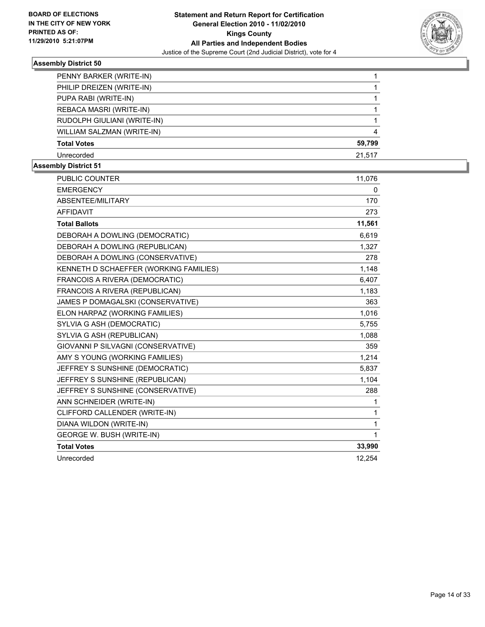

| PENNY BARKER (WRITE-IN)     |        |
|-----------------------------|--------|
| PHILIP DREIZEN (WRITE-IN)   |        |
| PUPA RABI (WRITE-IN)        |        |
| REBACA MASRI (WRITE-IN)     |        |
| RUDOLPH GIULIANI (WRITE-IN) |        |
| WILLIAM SALZMAN (WRITE-IN)  | 4      |
| <b>Total Votes</b>          | 59,799 |
| Unrecorded                  | 21.517 |

| <b>PUBLIC COUNTER</b>                  | 11,076 |
|----------------------------------------|--------|
| <b>EMERGENCY</b>                       | 0      |
| ABSENTEE/MILITARY                      | 170    |
| <b>AFFIDAVIT</b>                       | 273    |
| <b>Total Ballots</b>                   | 11,561 |
| DEBORAH A DOWLING (DEMOCRATIC)         | 6,619  |
| DEBORAH A DOWLING (REPUBLICAN)         | 1,327  |
| DEBORAH A DOWLING (CONSERVATIVE)       | 278    |
| KENNETH D SCHAEFFER (WORKING FAMILIES) | 1,148  |
| FRANCOIS A RIVERA (DEMOCRATIC)         | 6,407  |
| FRANCOIS A RIVERA (REPUBLICAN)         | 1,183  |
| JAMES P DOMAGALSKI (CONSERVATIVE)      | 363    |
| ELON HARPAZ (WORKING FAMILIES)         | 1,016  |
| SYLVIA G ASH (DEMOCRATIC)              | 5,755  |
| SYLVIA G ASH (REPUBLICAN)              | 1,088  |
| GIOVANNI P SILVAGNI (CONSERVATIVE)     | 359    |
| AMY S YOUNG (WORKING FAMILIES)         | 1,214  |
| JEFFREY S SUNSHINE (DEMOCRATIC)        | 5,837  |
| JEFFREY S SUNSHINE (REPUBLICAN)        | 1,104  |
| JEFFREY S SUNSHINE (CONSERVATIVE)      | 288    |
| ANN SCHNEIDER (WRITE-IN)               | 1      |
| CLIFFORD CALLENDER (WRITE-IN)          | 1      |
| DIANA WILDON (WRITE-IN)                | 1      |
| <b>GEORGE W. BUSH (WRITE-IN)</b>       | 1      |
| <b>Total Votes</b>                     | 33,990 |
| Unrecorded                             | 12,254 |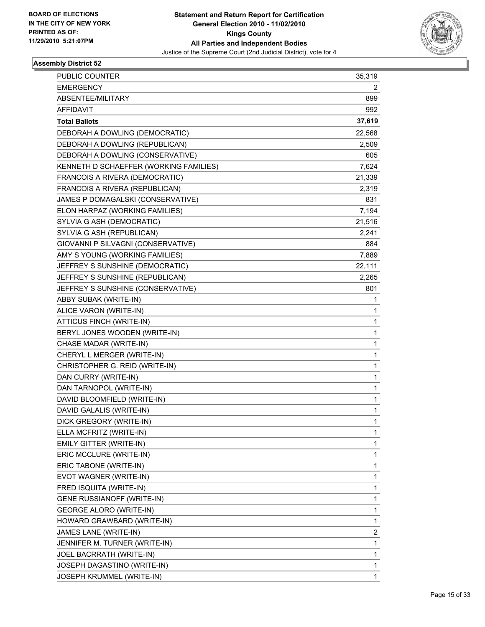

| <b>PUBLIC COUNTER</b>                  | 35,319 |
|----------------------------------------|--------|
| <b>EMERGENCY</b>                       | 2      |
| ABSENTEE/MILITARY                      | 899    |
| <b>AFFIDAVIT</b>                       | 992    |
| <b>Total Ballots</b>                   | 37,619 |
| DEBORAH A DOWLING (DEMOCRATIC)         | 22,568 |
| DEBORAH A DOWLING (REPUBLICAN)         | 2,509  |
| DEBORAH A DOWLING (CONSERVATIVE)       | 605    |
| KENNETH D SCHAEFFER (WORKING FAMILIES) | 7,624  |
| FRANCOIS A RIVERA (DEMOCRATIC)         | 21,339 |
| FRANCOIS A RIVERA (REPUBLICAN)         | 2,319  |
| JAMES P DOMAGALSKI (CONSERVATIVE)      | 831    |
| ELON HARPAZ (WORKING FAMILIES)         | 7,194  |
| SYLVIA G ASH (DEMOCRATIC)              | 21,516 |
| SYLVIA G ASH (REPUBLICAN)              | 2,241  |
| GIOVANNI P SILVAGNI (CONSERVATIVE)     | 884    |
| AMY S YOUNG (WORKING FAMILIES)         | 7,889  |
| JEFFREY S SUNSHINE (DEMOCRATIC)        | 22,111 |
| JEFFREY S SUNSHINE (REPUBLICAN)        | 2,265  |
| JEFFREY S SUNSHINE (CONSERVATIVE)      | 801    |
| ABBY SUBAK (WRITE-IN)                  | 1      |
| ALICE VARON (WRITE-IN)                 | 1      |
| ATTICUS FINCH (WRITE-IN)               | 1      |
| BERYL JONES WOODEN (WRITE-IN)          | 1      |
| CHASE MADAR (WRITE-IN)                 | 1      |
| CHERYL L MERGER (WRITE-IN)             | 1      |
| CHRISTOPHER G. REID (WRITE-IN)         | 1      |
| DAN CURRY (WRITE-IN)                   | 1      |
| DAN TARNOPOL (WRITE-IN)                | 1      |
| DAVID BLOOMFIELD (WRITE-IN)            | 1      |
| DAVID GALALIS (WRITE-IN)               | 1      |
| DICK GREGORY (WRITE-IN)                | 1      |
| ELLA MCFRITZ (WRITE-IN)                | 1      |
| EMILY GITTER (WRITE-IN)                | 1      |
| ERIC MCCLURE (WRITE-IN)                | 1      |
| ERIC TABONE (WRITE-IN)                 | 1      |
| EVOT WAGNER (WRITE-IN)                 | 1      |
| FRED ISQUITA (WRITE-IN)                | 1      |
| <b>GENE RUSSIANOFF (WRITE-IN)</b>      | 1      |
| <b>GEORGE ALORO (WRITE-IN)</b>         | 1      |
| HOWARD GRAWBARD (WRITE-IN)             | 1      |
| JAMES LANE (WRITE-IN)                  | 2      |
| JENNIFER M. TURNER (WRITE-IN)          | 1      |
| JOEL BACRRATH (WRITE-IN)               | 1      |
| JOSEPH DAGASTINO (WRITE-IN)            | 1      |
| JOSEPH KRUMMEL (WRITE-IN)              | 1      |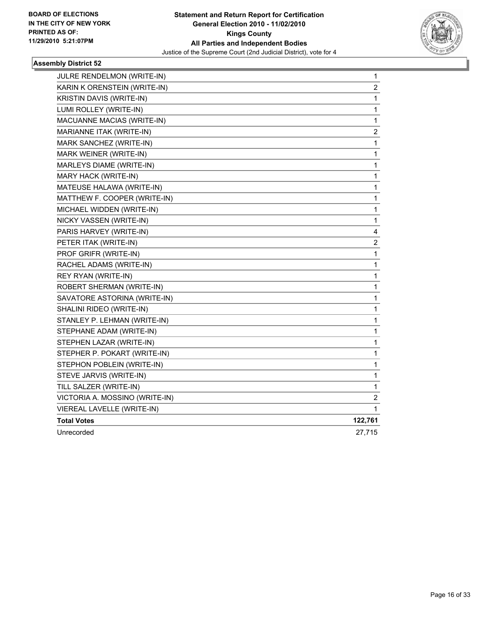

| JULRE RENDELMON (WRITE-IN)     | 1                       |
|--------------------------------|-------------------------|
| KARIN K ORENSTEIN (WRITE-IN)   | 2                       |
| KRISTIN DAVIS (WRITE-IN)       | 1                       |
| LUMI ROLLEY (WRITE-IN)         | 1                       |
| MACUANNE MACIAS (WRITE-IN)     | 1                       |
| MARIANNE ITAK (WRITE-IN)       | 2                       |
| MARK SANCHEZ (WRITE-IN)        | 1                       |
| MARK WEINER (WRITE-IN)         | 1                       |
| MARLEYS DIAME (WRITE-IN)       | 1                       |
| MARY HACK (WRITE-IN)           | 1                       |
| MATEUSE HALAWA (WRITE-IN)      | 1                       |
| MATTHEW F. COOPER (WRITE-IN)   | 1                       |
| MICHAEL WIDDEN (WRITE-IN)      | $\mathbf{1}$            |
| NICKY VASSEN (WRITE-IN)        | $\mathbf{1}$            |
| PARIS HARVEY (WRITE-IN)        | 4                       |
| PETER ITAK (WRITE-IN)          | $\overline{\mathbf{c}}$ |
| PROF GRIFR (WRITE-IN)          | $\mathbf{1}$            |
| RACHEL ADAMS (WRITE-IN)        | 1                       |
| REY RYAN (WRITE-IN)            | 1                       |
| ROBERT SHERMAN (WRITE-IN)      | 1                       |
| SAVATORE ASTORINA (WRITE-IN)   | $\mathbf 1$             |
| SHALINI RIDEO (WRITE-IN)       | 1                       |
| STANLEY P. LEHMAN (WRITE-IN)   | 1                       |
| STEPHANE ADAM (WRITE-IN)       | 1                       |
| STEPHEN LAZAR (WRITE-IN)       | 1                       |
| STEPHER P. POKART (WRITE-IN)   | 1                       |
| STEPHON POBLEIN (WRITE-IN)     | 1                       |
| STEVE JARVIS (WRITE-IN)        | 1                       |
| TILL SALZER (WRITE-IN)         | 1                       |
| VICTORIA A. MOSSINO (WRITE-IN) | 2                       |
| VIEREAL LAVELLE (WRITE-IN)     | 1                       |
| <b>Total Votes</b>             | 122,761                 |
| Unrecorded                     | 27,715                  |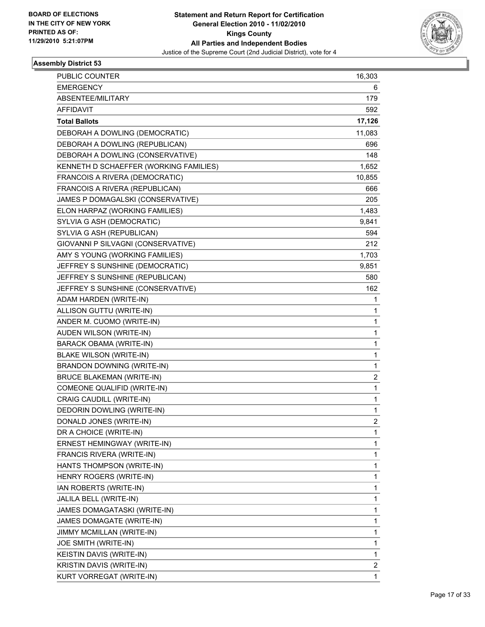

| PUBLIC COUNTER                         | 16,303 |
|----------------------------------------|--------|
| <b>EMERGENCY</b>                       | 6      |
| ABSENTEE/MILITARY                      | 179    |
| <b>AFFIDAVIT</b>                       | 592    |
| <b>Total Ballots</b>                   | 17,126 |
| DEBORAH A DOWLING (DEMOCRATIC)         | 11,083 |
| DEBORAH A DOWLING (REPUBLICAN)         | 696    |
| DEBORAH A DOWLING (CONSERVATIVE)       | 148    |
| KENNETH D SCHAEFFER (WORKING FAMILIES) | 1,652  |
| FRANCOIS A RIVERA (DEMOCRATIC)         | 10,855 |
| FRANCOIS A RIVERA (REPUBLICAN)         | 666    |
| JAMES P DOMAGALSKI (CONSERVATIVE)      | 205    |
| ELON HARPAZ (WORKING FAMILIES)         | 1,483  |
| SYLVIA G ASH (DEMOCRATIC)              | 9,841  |
| SYLVIA G ASH (REPUBLICAN)              | 594    |
| GIOVANNI P SILVAGNI (CONSERVATIVE)     | 212    |
| AMY S YOUNG (WORKING FAMILIES)         | 1,703  |
| JEFFREY S SUNSHINE (DEMOCRATIC)        | 9,851  |
| JEFFREY S SUNSHINE (REPUBLICAN)        | 580    |
| JEFFREY S SUNSHINE (CONSERVATIVE)      | 162    |
| ADAM HARDEN (WRITE-IN)                 | 1      |
| ALLISON GUTTU (WRITE-IN)               | 1      |
| ANDER M. CUOMO (WRITE-IN)              | 1      |
| AUDEN WILSON (WRITE-IN)                | 1      |
| <b>BARACK OBAMA (WRITE-IN)</b>         | 1      |
| <b>BLAKE WILSON (WRITE-IN)</b>         | 1      |
| BRANDON DOWNING (WRITE-IN)             | 1      |
| <b>BRUCE BLAKEMAN (WRITE-IN)</b>       | 2      |
| COMEONE QUALIFID (WRITE-IN)            | 1      |
| CRAIG CAUDILL (WRITE-IN)               | 1      |
| DEDORIN DOWLING (WRITE-IN)             | 1      |
| DONALD JONES (WRITE-IN)                | 2      |
| DR A CHOICE (WRITE-IN)                 | 1      |
| ERNEST HEMINGWAY (WRITE-IN)            | 1      |
| FRANCIS RIVERA (WRITE-IN)              | 1      |
| HANTS THOMPSON (WRITE-IN)              | 1      |
| <b>HENRY ROGERS (WRITE-IN)</b>         | 1      |
| IAN ROBERTS (WRITE-IN)                 | 1      |
| JALILA BELL (WRITE-IN)                 | 1      |
| JAMES DOMAGATASKI (WRITE-IN)           | 1      |
| JAMES DOMAGATE (WRITE-IN)              | 1      |
| JIMMY MCMILLAN (WRITE-IN)              | 1      |
| JOE SMITH (WRITE-IN)                   | 1      |
| KEISTIN DAVIS (WRITE-IN)               | 1      |
| KRISTIN DAVIS (WRITE-IN)               | 2      |
| KURT VORREGAT (WRITE-IN)               | 1      |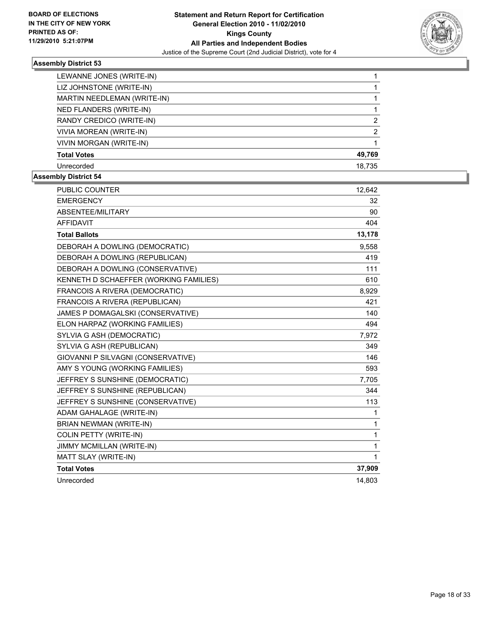

| LEWANNE JONES (WRITE-IN)    |        |
|-----------------------------|--------|
| LIZ JOHNSTONE (WRITE-IN)    |        |
| MARTIN NEEDLEMAN (WRITE-IN) |        |
| NED FLANDERS (WRITE-IN)     |        |
| RANDY CREDICO (WRITE-IN)    | 2      |
| VIVIA MOREAN (WRITE-IN)     | 2      |
| VIVIN MORGAN (WRITE-IN)     |        |
| <b>Total Votes</b>          | 49,769 |
| Unrecorded                  | 18.735 |

| PUBLIC COUNTER                         | 12,642 |
|----------------------------------------|--------|
| <b>EMERGENCY</b>                       | 32     |
| ABSENTEE/MILITARY                      | 90     |
| <b>AFFIDAVIT</b>                       | 404    |
| <b>Total Ballots</b>                   | 13,178 |
| DEBORAH A DOWLING (DEMOCRATIC)         | 9,558  |
| DEBORAH A DOWLING (REPUBLICAN)         | 419    |
| DEBORAH A DOWLING (CONSERVATIVE)       | 111    |
| KENNETH D SCHAEFFER (WORKING FAMILIES) | 610    |
| FRANCOIS A RIVERA (DEMOCRATIC)         | 8,929  |
| FRANCOIS A RIVERA (REPUBLICAN)         | 421    |
| JAMES P DOMAGALSKI (CONSERVATIVE)      | 140    |
| ELON HARPAZ (WORKING FAMILIES)         | 494    |
| SYLVIA G ASH (DEMOCRATIC)              | 7,972  |
| SYLVIA G ASH (REPUBLICAN)              | 349    |
| GIOVANNI P SILVAGNI (CONSERVATIVE)     | 146    |
| AMY S YOUNG (WORKING FAMILIES)         | 593    |
| JEFFREY S SUNSHINE (DEMOCRATIC)        | 7,705  |
| JEFFREY S SUNSHINE (REPUBLICAN)        | 344    |
| JEFFREY S SUNSHINE (CONSERVATIVE)      | 113    |
| ADAM GAHALAGE (WRITE-IN)               | 1      |
| BRIAN NEWMAN (WRITE-IN)                | 1      |
| COLIN PETTY (WRITE-IN)                 | 1      |
| JIMMY MCMILLAN (WRITE-IN)              | 1      |
| MATT SLAY (WRITE-IN)                   | 1      |
| <b>Total Votes</b>                     | 37,909 |
| Unrecorded                             | 14,803 |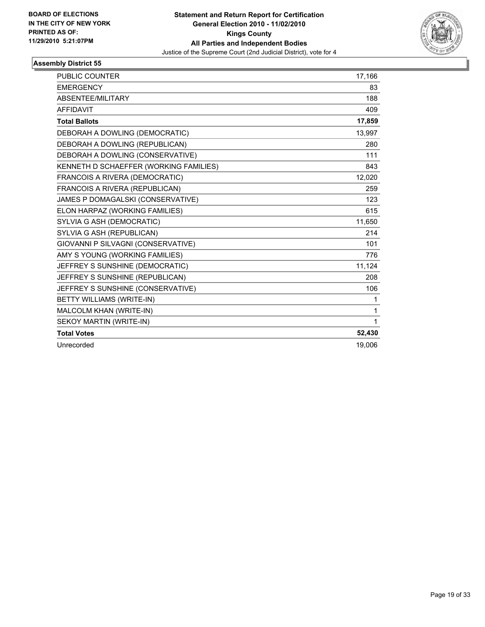

| <b>PUBLIC COUNTER</b>                  | 17,166 |
|----------------------------------------|--------|
| <b>EMERGENCY</b>                       | 83     |
| ABSENTEE/MILITARY                      | 188    |
| <b>AFFIDAVIT</b>                       | 409    |
| <b>Total Ballots</b>                   | 17,859 |
| DEBORAH A DOWLING (DEMOCRATIC)         | 13,997 |
| DEBORAH A DOWLING (REPUBLICAN)         | 280    |
| DEBORAH A DOWLING (CONSERVATIVE)       | 111    |
| KENNETH D SCHAEFFER (WORKING FAMILIES) | 843    |
| FRANCOIS A RIVERA (DEMOCRATIC)         | 12,020 |
| FRANCOIS A RIVERA (REPUBLICAN)         | 259    |
| JAMES P DOMAGALSKI (CONSERVATIVE)      | 123    |
| ELON HARPAZ (WORKING FAMILIES)         | 615    |
| SYLVIA G ASH (DEMOCRATIC)              | 11,650 |
| SYLVIA G ASH (REPUBLICAN)              | 214    |
| GIOVANNI P SILVAGNI (CONSERVATIVE)     | 101    |
| AMY S YOUNG (WORKING FAMILIES)         | 776    |
| JEFFREY S SUNSHINE (DEMOCRATIC)        | 11,124 |
| JEFFREY S SUNSHINE (REPUBLICAN)        | 208    |
| JEFFREY S SUNSHINE (CONSERVATIVE)      | 106    |
| BETTY WILLIAMS (WRITE-IN)              | 1      |
| MALCOLM KHAN (WRITE-IN)                | 1      |
| SEKOY MARTIN (WRITE-IN)                | 1      |
| <b>Total Votes</b>                     | 52,430 |
| Unrecorded                             | 19,006 |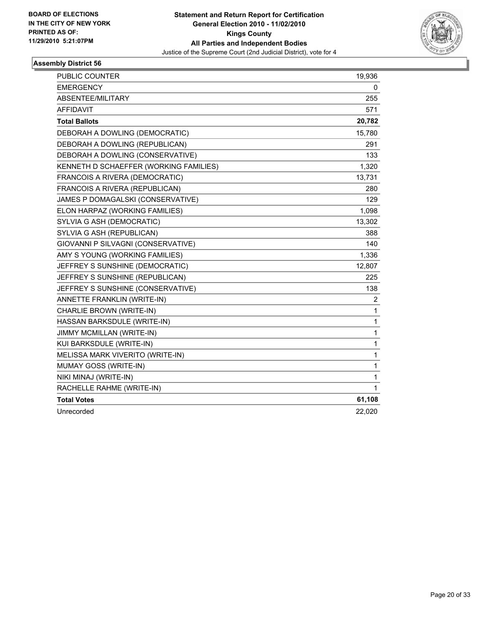

| PUBLIC COUNTER                         | 19,936         |
|----------------------------------------|----------------|
| <b>EMERGENCY</b>                       | 0              |
| ABSENTEE/MILITARY                      | 255            |
| <b>AFFIDAVIT</b>                       | 571            |
| <b>Total Ballots</b>                   | 20,782         |
| DEBORAH A DOWLING (DEMOCRATIC)         | 15,780         |
| DEBORAH A DOWLING (REPUBLICAN)         | 291            |
| DEBORAH A DOWLING (CONSERVATIVE)       | 133            |
| KENNETH D SCHAEFFER (WORKING FAMILIES) | 1,320          |
| FRANCOIS A RIVERA (DEMOCRATIC)         | 13,731         |
| FRANCOIS A RIVERA (REPUBLICAN)         | 280            |
| JAMES P DOMAGALSKI (CONSERVATIVE)      | 129            |
| ELON HARPAZ (WORKING FAMILIES)         | 1,098          |
| SYLVIA G ASH (DEMOCRATIC)              | 13,302         |
| SYLVIA G ASH (REPUBLICAN)              | 388            |
| GIOVANNI P SILVAGNI (CONSERVATIVE)     | 140            |
| AMY S YOUNG (WORKING FAMILIES)         | 1,336          |
| JEFFREY S SUNSHINE (DEMOCRATIC)        | 12,807         |
| JEFFREY S SUNSHINE (REPUBLICAN)        | 225            |
| JEFFREY S SUNSHINE (CONSERVATIVE)      | 138            |
| ANNETTE FRANKLIN (WRITE-IN)            | $\overline{2}$ |
| CHARLIE BROWN (WRITE-IN)               | 1              |
| HASSAN BARKSDULE (WRITE-IN)            | $\mathbf{1}$   |
| JIMMY MCMILLAN (WRITE-IN)              | $\mathbf 1$    |
| KUI BARKSDULE (WRITE-IN)               | $\mathbf{1}$   |
| MELISSA MARK VIVERITO (WRITE-IN)       | 1              |
| MUMAY GOSS (WRITE-IN)                  | $\mathbf 1$    |
| NIKI MINAJ (WRITE-IN)                  | 1              |
| RACHELLE RAHME (WRITE-IN)              | $\mathbf{1}$   |
| <b>Total Votes</b>                     | 61,108         |
| Unrecorded                             | 22,020         |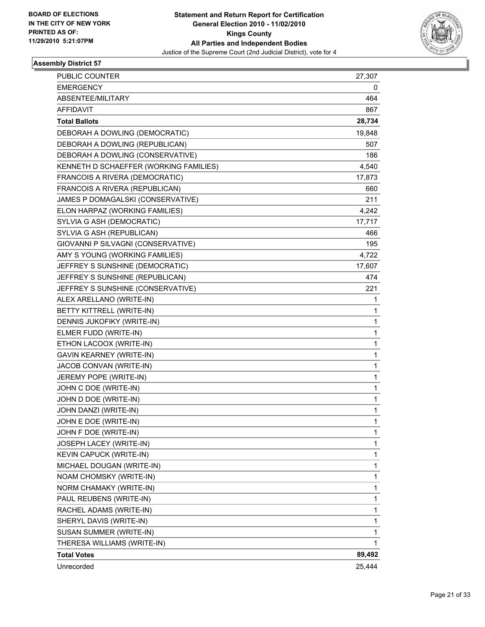

| <b>PUBLIC COUNTER</b>                  | 27,307 |
|----------------------------------------|--------|
| <b>EMERGENCY</b>                       | 0      |
| ABSENTEE/MILITARY                      | 464    |
| <b>AFFIDAVIT</b>                       | 867    |
| <b>Total Ballots</b>                   | 28,734 |
| DEBORAH A DOWLING (DEMOCRATIC)         | 19,848 |
| DEBORAH A DOWLING (REPUBLICAN)         | 507    |
| DEBORAH A DOWLING (CONSERVATIVE)       | 186    |
| KENNETH D SCHAEFFER (WORKING FAMILIES) | 4,540  |
| FRANCOIS A RIVERA (DEMOCRATIC)         | 17,873 |
| FRANCOIS A RIVERA (REPUBLICAN)         | 660    |
| JAMES P DOMAGALSKI (CONSERVATIVE)      | 211    |
| ELON HARPAZ (WORKING FAMILIES)         | 4,242  |
| SYLVIA G ASH (DEMOCRATIC)              | 17,717 |
| SYLVIA G ASH (REPUBLICAN)              | 466    |
| GIOVANNI P SILVAGNI (CONSERVATIVE)     | 195    |
| AMY S YOUNG (WORKING FAMILIES)         | 4,722  |
| JEFFREY S SUNSHINE (DEMOCRATIC)        | 17,607 |
| JEFFREY S SUNSHINE (REPUBLICAN)        | 474    |
| JEFFREY S SUNSHINE (CONSERVATIVE)      | 221    |
| ALEX ARELLANO (WRITE-IN)               | 1      |
| BETTY KITTRELL (WRITE-IN)              | 1      |
| DENNIS JUKOFIKY (WRITE-IN)             | 1      |
| ELMER FUDD (WRITE-IN)                  | 1      |
| ETHON LACOOX (WRITE-IN)                | 1      |
| <b>GAVIN KEARNEY (WRITE-IN)</b>        | 1      |
| JACOB CONVAN (WRITE-IN)                | 1      |
| JEREMY POPE (WRITE-IN)                 | 1      |
| JOHN C DOE (WRITE-IN)                  | 1      |
| JOHN D DOE (WRITE-IN)                  | 1      |
| JOHN DANZI (WRITE-IN)                  | 1      |
| JOHN E DOE (WRITE-IN)                  | 1      |
| JOHN F DOE (WRITE-IN)                  | 1      |
| JOSEPH LACEY (WRITE-IN)                | 1      |
| KEVIN CAPUCK (WRITE-IN)                | 1      |
| MICHAEL DOUGAN (WRITE-IN)              | 1      |
| NOAM CHOMSKY (WRITE-IN)                | 1      |
| NORM CHAMAKY (WRITE-IN)                | 1      |
| PAUL REUBENS (WRITE-IN)                | 1      |
| RACHEL ADAMS (WRITE-IN)                | 1      |
| SHERYL DAVIS (WRITE-IN)                | 1      |
| SUSAN SUMMER (WRITE-IN)                | 1      |
| THERESA WILLIAMS (WRITE-IN)            | 1      |
| <b>Total Votes</b>                     | 89,492 |
| Unrecorded                             | 25,444 |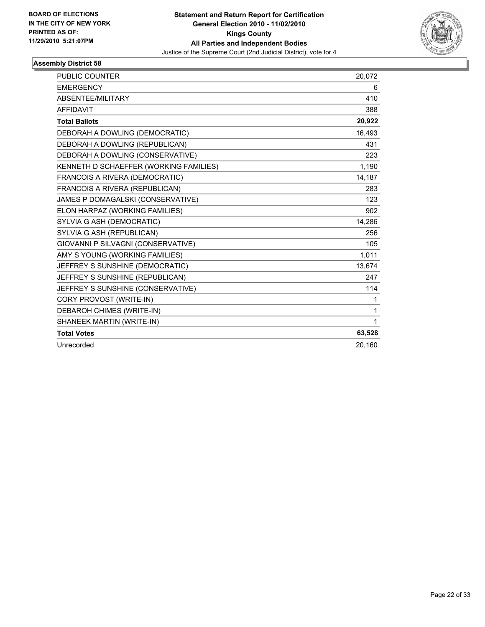

| <b>PUBLIC COUNTER</b>                  | 20,072       |
|----------------------------------------|--------------|
| <b>EMERGENCY</b>                       | 6            |
| ABSENTEE/MILITARY                      | 410          |
| <b>AFFIDAVIT</b>                       | 388          |
| <b>Total Ballots</b>                   | 20,922       |
| DEBORAH A DOWLING (DEMOCRATIC)         | 16,493       |
| DEBORAH A DOWLING (REPUBLICAN)         | 431          |
| DEBORAH A DOWLING (CONSERVATIVE)       | 223          |
| KENNETH D SCHAEFFER (WORKING FAMILIES) | 1,190        |
| FRANCOIS A RIVERA (DEMOCRATIC)         | 14,187       |
| FRANCOIS A RIVERA (REPUBLICAN)         | 283          |
| JAMES P DOMAGALSKI (CONSERVATIVE)      | 123          |
| ELON HARPAZ (WORKING FAMILIES)         | 902          |
| SYLVIA G ASH (DEMOCRATIC)              | 14,286       |
| SYLVIA G ASH (REPUBLICAN)              | 256          |
| GIOVANNI P SILVAGNI (CONSERVATIVE)     | 105          |
| AMY S YOUNG (WORKING FAMILIES)         | 1,011        |
| JEFFREY S SUNSHINE (DEMOCRATIC)        | 13,674       |
| JEFFREY S SUNSHINE (REPUBLICAN)        | 247          |
| JEFFREY S SUNSHINE (CONSERVATIVE)      | 114          |
| CORY PROVOST (WRITE-IN)                | 1            |
| DEBAROH CHIMES (WRITE-IN)              | $\mathbf{1}$ |
| SHANEEK MARTIN (WRITE-IN)              | $\mathbf{1}$ |
| <b>Total Votes</b>                     | 63,528       |
| Unrecorded                             | 20,160       |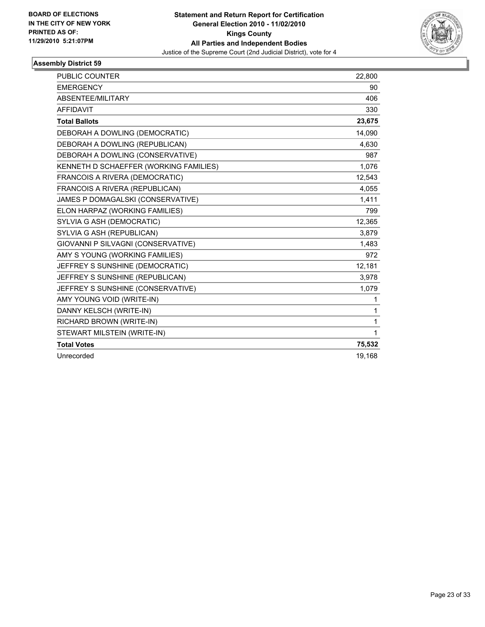

| <b>PUBLIC COUNTER</b>                  | 22,800 |
|----------------------------------------|--------|
| <b>EMERGENCY</b>                       | 90     |
| ABSENTEE/MILITARY                      | 406    |
| <b>AFFIDAVIT</b>                       | 330    |
| <b>Total Ballots</b>                   | 23,675 |
| DEBORAH A DOWLING (DEMOCRATIC)         | 14,090 |
| DEBORAH A DOWLING (REPUBLICAN)         | 4,630  |
| DEBORAH A DOWLING (CONSERVATIVE)       | 987    |
| KENNETH D SCHAEFFER (WORKING FAMILIES) | 1,076  |
| FRANCOIS A RIVERA (DEMOCRATIC)         | 12,543 |
| FRANCOIS A RIVERA (REPUBLICAN)         | 4,055  |
| JAMES P DOMAGALSKI (CONSERVATIVE)      | 1,411  |
| ELON HARPAZ (WORKING FAMILIES)         | 799    |
| SYLVIA G ASH (DEMOCRATIC)              | 12,365 |
| SYLVIA G ASH (REPUBLICAN)              | 3,879  |
| GIOVANNI P SILVAGNI (CONSERVATIVE)     | 1,483  |
| AMY S YOUNG (WORKING FAMILIES)         | 972    |
| JEFFREY S SUNSHINE (DEMOCRATIC)        | 12,181 |
| JEFFREY S SUNSHINE (REPUBLICAN)        | 3,978  |
| JEFFREY S SUNSHINE (CONSERVATIVE)      | 1,079  |
| AMY YOUNG VOID (WRITE-IN)              | 1      |
| DANNY KELSCH (WRITE-IN)                | 1      |
| RICHARD BROWN (WRITE-IN)               | 1      |
| STEWART MILSTEIN (WRITE-IN)            | 1      |
| <b>Total Votes</b>                     | 75,532 |
| Unrecorded                             | 19,168 |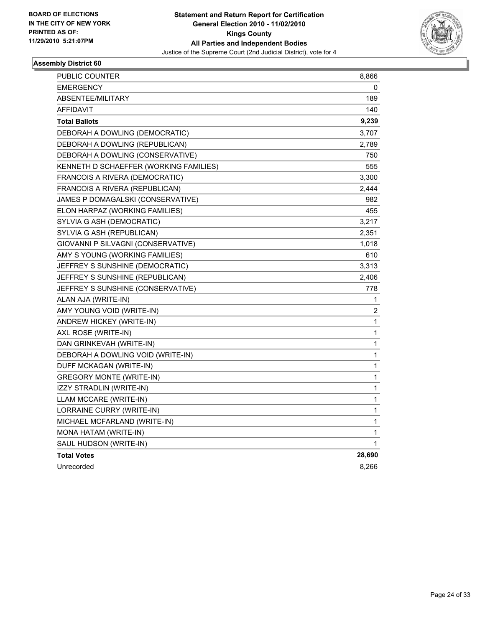

| PUBLIC COUNTER                         | 8,866  |
|----------------------------------------|--------|
| <b>EMERGENCY</b>                       | 0      |
| ABSENTEE/MILITARY                      | 189    |
| <b>AFFIDAVIT</b>                       | 140    |
| <b>Total Ballots</b>                   | 9,239  |
| DEBORAH A DOWLING (DEMOCRATIC)         | 3,707  |
| DEBORAH A DOWLING (REPUBLICAN)         | 2,789  |
| DEBORAH A DOWLING (CONSERVATIVE)       | 750    |
| KENNETH D SCHAEFFER (WORKING FAMILIES) | 555    |
| FRANCOIS A RIVERA (DEMOCRATIC)         | 3,300  |
| FRANCOIS A RIVERA (REPUBLICAN)         | 2,444  |
| JAMES P DOMAGALSKI (CONSERVATIVE)      | 982    |
| ELON HARPAZ (WORKING FAMILIES)         | 455    |
| SYLVIA G ASH (DEMOCRATIC)              | 3,217  |
| SYLVIA G ASH (REPUBLICAN)              | 2,351  |
| GIOVANNI P SILVAGNI (CONSERVATIVE)     | 1,018  |
| AMY S YOUNG (WORKING FAMILIES)         | 610    |
| JEFFREY S SUNSHINE (DEMOCRATIC)        | 3,313  |
| JEFFREY S SUNSHINE (REPUBLICAN)        | 2,406  |
| JEFFREY S SUNSHINE (CONSERVATIVE)      | 778    |
| ALAN AJA (WRITE-IN)                    | 1      |
| AMY YOUNG VOID (WRITE-IN)              | 2      |
| ANDREW HICKEY (WRITE-IN)               | 1      |
| AXL ROSE (WRITE-IN)                    | 1      |
| DAN GRINKEVAH (WRITE-IN)               | 1      |
| DEBORAH A DOWLING VOID (WRITE-IN)      | 1      |
| DUFF MCKAGAN (WRITE-IN)                | 1      |
| <b>GREGORY MONTE (WRITE-IN)</b>        | 1      |
| IZZY STRADLIN (WRITE-IN)               | 1      |
| LLAM MCCARE (WRITE-IN)                 | 1      |
| LORRAINE CURRY (WRITE-IN)              | 1      |
| MICHAEL MCFARLAND (WRITE-IN)           | 1      |
| MONA HATAM (WRITE-IN)                  | 1      |
| SAUL HUDSON (WRITE-IN)                 | 1      |
| <b>Total Votes</b>                     | 28,690 |
| Unrecorded                             | 8,266  |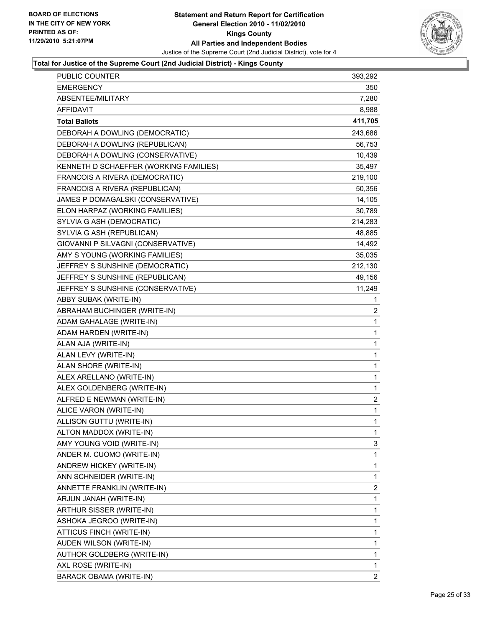

| PUBLIC COUNTER                         | 393,292 |
|----------------------------------------|---------|
| <b>EMERGENCY</b>                       | 350     |
| ABSENTEE/MILITARY                      | 7,280   |
| AFFIDAVIT                              | 8,988   |
| <b>Total Ballots</b>                   | 411,705 |
| DEBORAH A DOWLING (DEMOCRATIC)         | 243,686 |
| DEBORAH A DOWLING (REPUBLICAN)         | 56,753  |
| DEBORAH A DOWLING (CONSERVATIVE)       | 10,439  |
| KENNETH D SCHAEFFER (WORKING FAMILIES) | 35,497  |
| FRANCOIS A RIVERA (DEMOCRATIC)         | 219,100 |
| FRANCOIS A RIVERA (REPUBLICAN)         | 50,356  |
| JAMES P DOMAGALSKI (CONSERVATIVE)      | 14,105  |
| ELON HARPAZ (WORKING FAMILIES)         | 30,789  |
| SYLVIA G ASH (DEMOCRATIC)              | 214,283 |
| SYLVIA G ASH (REPUBLICAN)              | 48,885  |
| GIOVANNI P SILVAGNI (CONSERVATIVE)     | 14,492  |
| AMY S YOUNG (WORKING FAMILIES)         | 35,035  |
| JEFFREY S SUNSHINE (DEMOCRATIC)        | 212,130 |
| JEFFREY S SUNSHINE (REPUBLICAN)        | 49,156  |
| JEFFREY S SUNSHINE (CONSERVATIVE)      | 11,249  |
| ABBY SUBAK (WRITE-IN)                  | 1       |
| ABRAHAM BUCHINGER (WRITE-IN)           | 2       |
| ADAM GAHALAGE (WRITE-IN)               | 1       |
| ADAM HARDEN (WRITE-IN)                 | 1       |
| ALAN AJA (WRITE-IN)                    | 1       |
| ALAN LEVY (WRITE-IN)                   | 1       |
| ALAN SHORE (WRITE-IN)                  | 1       |
| ALEX ARELLANO (WRITE-IN)               | 1       |
| ALEX GOLDENBERG (WRITE-IN)             | 1       |
| ALFRED E NEWMAN (WRITE-IN)             | 2       |
| ALICE VARON (WRITE-IN)                 | 1       |
| ALLISON GUTTU (WRITE-IN)               | 1       |
| ALTON MADDOX (WRITE-IN)                | 1       |
| AMY YOUNG VOID (WRITE-IN)              | 3       |
| ANDER M. CUOMO (WRITE-IN)              | 1       |
| ANDREW HICKEY (WRITE-IN)               | 1       |
| ANN SCHNEIDER (WRITE-IN)               | 1       |
| ANNETTE FRANKLIN (WRITE-IN)            | 2       |
| ARJUN JANAH (WRITE-IN)                 | 1       |
| ARTHUR SISSER (WRITE-IN)               | 1       |
| ASHOKA JEGROO (WRITE-IN)               | 1       |
| ATTICUS FINCH (WRITE-IN)               | 1       |
| AUDEN WILSON (WRITE-IN)                | 1       |
| AUTHOR GOLDBERG (WRITE-IN)             | 1       |
| AXL ROSE (WRITE-IN)                    | 1       |
| <b>BARACK OBAMA (WRITE-IN)</b>         | 2       |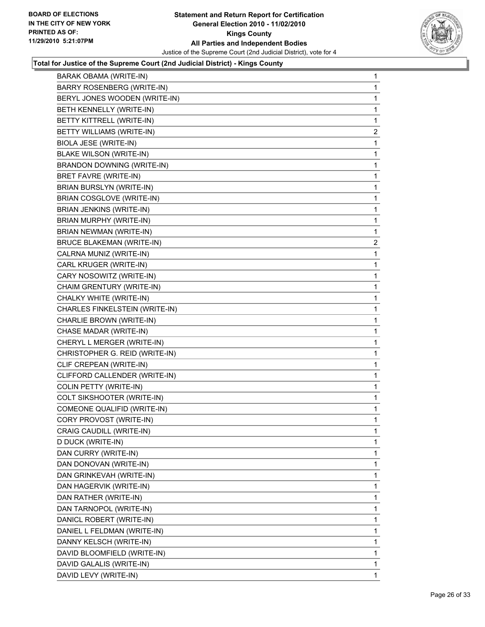

| BARAK OBAMA (WRITE-IN)            | 1 |
|-----------------------------------|---|
| <b>BARRY ROSENBERG (WRITE-IN)</b> | 1 |
| BERYL JONES WOODEN (WRITE-IN)     | 1 |
| BETH KENNELLY (WRITE-IN)          | 1 |
| BETTY KITTRELL (WRITE-IN)         | 1 |
| BETTY WILLIAMS (WRITE-IN)         | 2 |
| BIOLA JESE (WRITE-IN)             | 1 |
| <b>BLAKE WILSON (WRITE-IN)</b>    | 1 |
| <b>BRANDON DOWNING (WRITE-IN)</b> | 1 |
| BRET FAVRE (WRITE-IN)             | 1 |
| BRIAN BURSLYN (WRITE-IN)          | 1 |
| BRIAN COSGLOVE (WRITE-IN)         | 1 |
| BRIAN JENKINS (WRITE-IN)          | 1 |
| BRIAN MURPHY (WRITE-IN)           | 1 |
| BRIAN NEWMAN (WRITE-IN)           | 1 |
| <b>BRUCE BLAKEMAN (WRITE-IN)</b>  | 2 |
| CALRNA MUNIZ (WRITE-IN)           | 1 |
| CARL KRUGER (WRITE-IN)            | 1 |
| CARY NOSOWITZ (WRITE-IN)          | 1 |
| CHAIM GRENTURY (WRITE-IN)         | 1 |
| CHALKY WHITE (WRITE-IN)           | 1 |
| CHARLES FINKELSTEIN (WRITE-IN)    | 1 |
| CHARLIE BROWN (WRITE-IN)          | 1 |
| CHASE MADAR (WRITE-IN)            | 1 |
| CHERYL L MERGER (WRITE-IN)        | 1 |
| CHRISTOPHER G. REID (WRITE-IN)    | 1 |
| CLIF CREPEAN (WRITE-IN)           | 1 |
| CLIFFORD CALLENDER (WRITE-IN)     | 1 |
| COLIN PETTY (WRITE-IN)            | 1 |
| COLT SIKSHOOTER (WRITE-IN)        | 1 |
| COMEONE QUALIFID (WRITE-IN)       | 1 |
| CORY PROVOST (WRITE-IN)           | 1 |
| CRAIG CAUDILL (WRITE-IN)          | 1 |
| D DUCK (WRITE-IN)                 | 1 |
| DAN CURRY (WRITE-IN)              | 1 |
| DAN DONOVAN (WRITE-IN)            | 1 |
| DAN GRINKEVAH (WRITE-IN)          | 1 |
| DAN HAGERVIK (WRITE-IN)           | 1 |
| DAN RATHER (WRITE-IN)             | 1 |
| DAN TARNOPOL (WRITE-IN)           | 1 |
| DANICL ROBERT (WRITE-IN)          | 1 |
| DANIEL L FELDMAN (WRITE-IN)       | 1 |
| DANNY KELSCH (WRITE-IN)           | 1 |
| DAVID BLOOMFIELD (WRITE-IN)       | 1 |
| DAVID GALALIS (WRITE-IN)          | 1 |
| DAVID LEVY (WRITE-IN)             | 1 |
|                                   |   |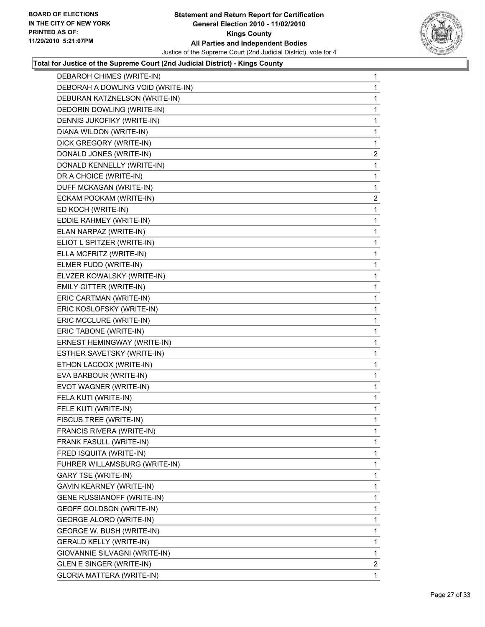

| DEBAROH CHIMES (WRITE-IN)         | 1            |
|-----------------------------------|--------------|
| DEBORAH A DOWLING VOID (WRITE-IN) | 1            |
| DEBURAN KATZNELSON (WRITE-IN)     | 1            |
| DEDORIN DOWLING (WRITE-IN)        | 1            |
| DENNIS JUKOFIKY (WRITE-IN)        | 1            |
| DIANA WILDON (WRITE-IN)           | 1            |
| DICK GREGORY (WRITE-IN)           | 1            |
| DONALD JONES (WRITE-IN)           | $\mathbf{2}$ |
| DONALD KENNELLY (WRITE-IN)        | 1            |
| DR A CHOICE (WRITE-IN)            | 1            |
| DUFF MCKAGAN (WRITE-IN)           | 1            |
| ECKAM POOKAM (WRITE-IN)           | 2            |
| ED KOCH (WRITE-IN)                | 1            |
| EDDIE RAHMEY (WRITE-IN)           | 1            |
| ELAN NARPAZ (WRITE-IN)            | 1            |
| ELIOT L SPITZER (WRITE-IN)        | 1            |
| ELLA MCFRITZ (WRITE-IN)           | 1            |
| ELMER FUDD (WRITE-IN)             | 1            |
| ELVZER KOWALSKY (WRITE-IN)        | 1            |
| EMILY GITTER (WRITE-IN)           | 1            |
| ERIC CARTMAN (WRITE-IN)           | 1            |
| ERIC KOSLOFSKY (WRITE-IN)         | 1            |
| ERIC MCCLURE (WRITE-IN)           | 1            |
| ERIC TABONE (WRITE-IN)            | 1            |
| ERNEST HEMINGWAY (WRITE-IN)       | 1            |
| ESTHER SAVETSKY (WRITE-IN)        | 1            |
| ETHON LACOOX (WRITE-IN)           | 1            |
| EVA BARBOUR (WRITE-IN)            | 1            |
| EVOT WAGNER (WRITE-IN)            | 1            |
| FELA KUTI (WRITE-IN)              | 1            |
| FELE KUTI (WRITE-IN)              | 1            |
| FISCUS TREE (WRITE-IN)            | 1            |
| FRANCIS RIVERA (WRITE-IN)         | 1            |
| FRANK FASULL (WRITE-IN)           | $\mathbf{1}$ |
| FRED ISQUITA (WRITE-IN)           | 1            |
| FUHRER WILLAMSBURG (WRITE-IN)     | 1            |
| GARY TSE (WRITE-IN)               | 1            |
| GAVIN KEARNEY (WRITE-IN)          | 1            |
| <b>GENE RUSSIANOFF (WRITE-IN)</b> | 1            |
| GEOFF GOLDSON (WRITE-IN)          | 1            |
| <b>GEORGE ALORO (WRITE-IN)</b>    | 1            |
| GEORGE W. BUSH (WRITE-IN)         | 1            |
| <b>GERALD KELLY (WRITE-IN)</b>    | 1            |
| GIOVANNIE SILVAGNI (WRITE-IN)     | 1            |
| <b>GLEN E SINGER (WRITE-IN)</b>   | 2            |
| GLORIA MATTERA (WRITE-IN)         | 1            |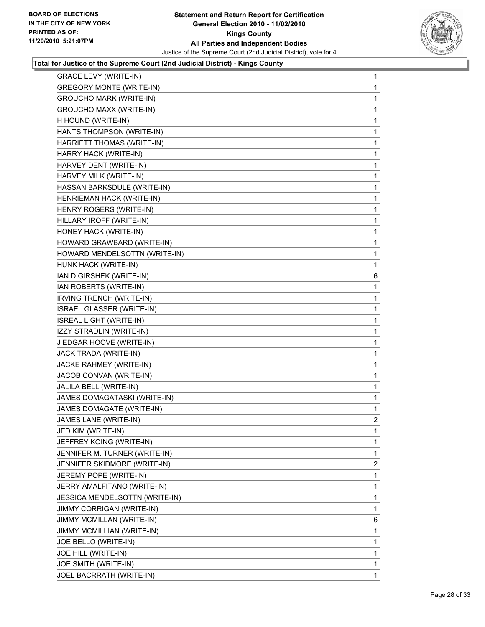

| <b>GRACE LEVY (WRITE-IN)</b>    | 1 |
|---------------------------------|---|
| <b>GREGORY MONTE (WRITE-IN)</b> | 1 |
| <b>GROUCHO MARK (WRITE-IN)</b>  | 1 |
| GROUCHO MAXX (WRITE-IN)         | 1 |
| H HOUND (WRITE-IN)              | 1 |
| HANTS THOMPSON (WRITE-IN)       | 1 |
| HARRIETT THOMAS (WRITE-IN)      | 1 |
| HARRY HACK (WRITE-IN)           | 1 |
| HARVEY DENT (WRITE-IN)          | 1 |
| HARVEY MILK (WRITE-IN)          | 1 |
| HASSAN BARKSDULE (WRITE-IN)     | 1 |
| HENRIEMAN HACK (WRITE-IN)       | 1 |
| HENRY ROGERS (WRITE-IN)         | 1 |
| HILLARY IROFF (WRITE-IN)        | 1 |
| HONEY HACK (WRITE-IN)           | 1 |
| HOWARD GRAWBARD (WRITE-IN)      | 1 |
| HOWARD MENDELSOTTN (WRITE-IN)   | 1 |
| HUNK HACK (WRITE-IN)            | 1 |
| IAN D GIRSHEK (WRITE-IN)        | 6 |
| IAN ROBERTS (WRITE-IN)          | 1 |
| IRVING TRENCH (WRITE-IN)        | 1 |
| ISRAEL GLASSER (WRITE-IN)       | 1 |
| <b>ISREAL LIGHT (WRITE-IN)</b>  | 1 |
| IZZY STRADLIN (WRITE-IN)        | 1 |
| J EDGAR HOOVE (WRITE-IN)        | 1 |
| JACK TRADA (WRITE-IN)           | 1 |
| JACKE RAHMEY (WRITE-IN)         | 1 |
| JACOB CONVAN (WRITE-IN)         | 1 |
| JALILA BELL (WRITE-IN)          | 1 |
| JAMES DOMAGATASKI (WRITE-IN)    | 1 |
| JAMES DOMAGATE (WRITE-IN)       | 1 |
| JAMES LANE (WRITE-IN)           | 2 |
| JED KIM (WRITE-IN)              | 1 |
| JEFFREY KOING (WRITE-IN)        | 1 |
| JENNIFER M. TURNER (WRITE-IN)   | 1 |
| JENNIFER SKIDMORE (WRITE-IN)    | 2 |
| JEREMY POPE (WRITE-IN)          | 1 |
| JERRY AMALFITANO (WRITE-IN)     | 1 |
| JESSICA MENDELSOTTN (WRITE-IN)  | 1 |
| JIMMY CORRIGAN (WRITE-IN)       | 1 |
| JIMMY MCMILLAN (WRITE-IN)       | 6 |
| JIMMY MCMILLIAN (WRITE-IN)      | 1 |
| JOE BELLO (WRITE-IN)            | 1 |
| JOE HILL (WRITE-IN)             | 1 |
| JOE SMITH (WRITE-IN)            | 1 |
| JOEL BACRRATH (WRITE-IN)        | 1 |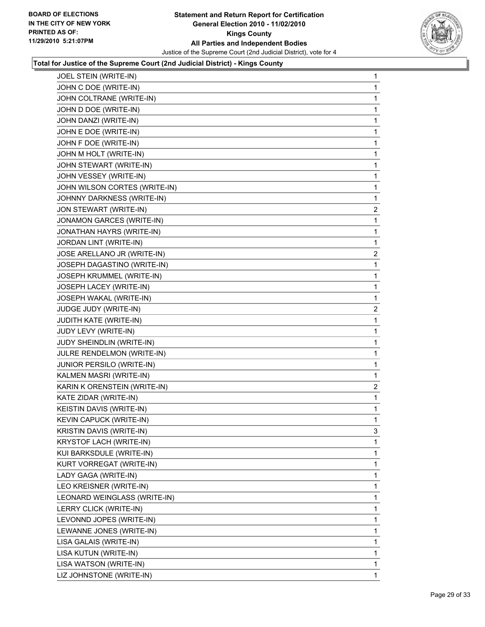

| JOEL STEIN (WRITE-IN)           | 1              |
|---------------------------------|----------------|
| JOHN C DOE (WRITE-IN)           | 1              |
| JOHN COLTRANE (WRITE-IN)        | 1              |
| JOHN D DOE (WRITE-IN)           | 1              |
| JOHN DANZI (WRITE-IN)           | 1              |
| JOHN E DOE (WRITE-IN)           | 1              |
| JOHN F DOE (WRITE-IN)           | 1              |
| JOHN M HOLT (WRITE-IN)          | 1              |
| JOHN STEWART (WRITE-IN)         | 1              |
| JOHN VESSEY (WRITE-IN)          | 1              |
| JOHN WILSON CORTES (WRITE-IN)   | 1              |
| JOHNNY DARKNESS (WRITE-IN)      | 1              |
| JON STEWART (WRITE-IN)          | $\mathbf{2}$   |
| JONAMON GARCES (WRITE-IN)       | 1              |
| JONATHAN HAYRS (WRITE-IN)       | 1              |
| JORDAN LINT (WRITE-IN)          | 1              |
| JOSE ARELLANO JR (WRITE-IN)     | $\overline{c}$ |
| JOSEPH DAGASTINO (WRITE-IN)     | 1              |
| JOSEPH KRUMMEL (WRITE-IN)       | 1              |
| JOSEPH LACEY (WRITE-IN)         | 1              |
| JOSEPH WAKAL (WRITE-IN)         | 1              |
| JUDGE JUDY (WRITE-IN)           | 2              |
| JUDITH KATE (WRITE-IN)          | 1              |
| JUDY LEVY (WRITE-IN)            | 1              |
| JUDY SHEINDLIN (WRITE-IN)       | 1              |
| JULRE RENDELMON (WRITE-IN)      | 1              |
| JUNIOR PERSILO (WRITE-IN)       | 1              |
| KALMEN MASRI (WRITE-IN)         | 1              |
| KARIN K ORENSTEIN (WRITE-IN)    | $\overline{c}$ |
| KATE ZIDAR (WRITE-IN)           | 1              |
| KEISTIN DAVIS (WRITE-IN)        | 1              |
| KEVIN CAPUCK (WRITE-IN)         | 1              |
| <b>KRISTIN DAVIS (WRITE-IN)</b> | 3              |
| <b>KRYSTOF LACH (WRITE-IN)</b>  | 1              |
| KUI BARKSDULE (WRITE-IN)        | 1              |
| KURT VORREGAT (WRITE-IN)        | 1              |
| LADY GAGA (WRITE-IN)            | 1              |
| LEO KREISNER (WRITE-IN)         | 1              |
| LEONARD WEINGLASS (WRITE-IN)    | 1              |
| LERRY CLICK (WRITE-IN)          | 1              |
| LEVONND JOPES (WRITE-IN)        | 1              |
| LEWANNE JONES (WRITE-IN)        | 1              |
| LISA GALAIS (WRITE-IN)          | 1              |
| LISA KUTUN (WRITE-IN)           | 1              |
| LISA WATSON (WRITE-IN)          | 1              |
| LIZ JOHNSTONE (WRITE-IN)        | 1              |
|                                 |                |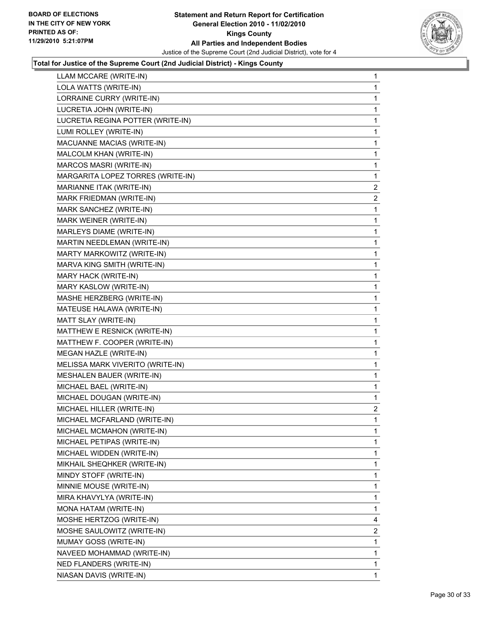

| LLAM MCCARE (WRITE-IN)            | 1 |
|-----------------------------------|---|
| LOLA WATTS (WRITE-IN)             | 1 |
| LORRAINE CURRY (WRITE-IN)         | 1 |
| LUCRETIA JOHN (WRITE-IN)          | 1 |
| LUCRETIA REGINA POTTER (WRITE-IN) | 1 |
| LUMI ROLLEY (WRITE-IN)            | 1 |
| MACUANNE MACIAS (WRITE-IN)        | 1 |
| MALCOLM KHAN (WRITE-IN)           | 1 |
| MARCOS MASRI (WRITE-IN)           | 1 |
| MARGARITA LOPEZ TORRES (WRITE-IN) | 1 |
| MARIANNE ITAK (WRITE-IN)          | 2 |
| MARK FRIEDMAN (WRITE-IN)          | 2 |
| MARK SANCHEZ (WRITE-IN)           | 1 |
| MARK WEINER (WRITE-IN)            | 1 |
| MARLEYS DIAME (WRITE-IN)          | 1 |
| MARTIN NEEDLEMAN (WRITE-IN)       | 1 |
| MARTY MARKOWITZ (WRITE-IN)        | 1 |
| MARVA KING SMITH (WRITE-IN)       | 1 |
| MARY HACK (WRITE-IN)              | 1 |
| MARY KASLOW (WRITE-IN)            | 1 |
| MASHE HERZBERG (WRITE-IN)         | 1 |
| MATEUSE HALAWA (WRITE-IN)         | 1 |
| MATT SLAY (WRITE-IN)              | 1 |
| MATTHEW E RESNICK (WRITE-IN)      | 1 |
| MATTHEW F. COOPER (WRITE-IN)      | 1 |
| MEGAN HAZLE (WRITE-IN)            | 1 |
| MELISSA MARK VIVERITO (WRITE-IN)  | 1 |
| <b>MESHALEN BAUER (WRITE-IN)</b>  | 1 |
| MICHAEL BAEL (WRITE-IN)           | 1 |
| MICHAEL DOUGAN (WRITE-IN)         | 1 |
| MICHAEL HILLER (WRITE-IN)         | 2 |
| MICHAEL MCFARLAND (WRITE-IN)      | 1 |
| MICHAEL MCMAHON (WRITE-IN)        | 1 |
| MICHAEL PETIPAS (WRITE-IN)        | 1 |
| MICHAEL WIDDEN (WRITE-IN)         | 1 |
| MIKHAIL SHEQHKER (WRITE-IN)       | 1 |
| MINDY STOFF (WRITE-IN)            | 1 |
| MINNIE MOUSE (WRITE-IN)           | 1 |
| MIRA KHAVYLYA (WRITE-IN)          | 1 |
| MONA HATAM (WRITE-IN)             | 1 |
| MOSHE HERTZOG (WRITE-IN)          | 4 |
| MOSHE SAULOWITZ (WRITE-IN)        | 2 |
| MUMAY GOSS (WRITE-IN)             | 1 |
| NAVEED MOHAMMAD (WRITE-IN)        | 1 |
| NED FLANDERS (WRITE-IN)           | 1 |
| NIASAN DAVIS (WRITE-IN)           | 1 |
|                                   |   |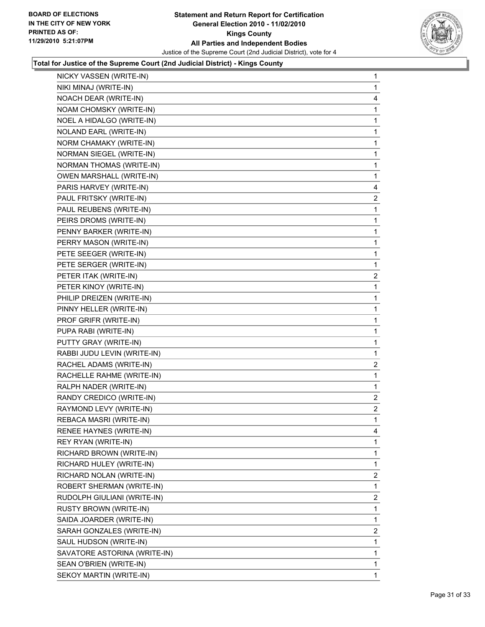

| NICKY VASSEN (WRITE-IN)         | 1              |
|---------------------------------|----------------|
| NIKI MINAJ (WRITE-IN)           | 1              |
| NOACH DEAR (WRITE-IN)           | 4              |
| NOAM CHOMSKY (WRITE-IN)         | 1              |
| NOEL A HIDALGO (WRITE-IN)       | 1              |
| NOLAND EARL (WRITE-IN)          | 1              |
| NORM CHAMAKY (WRITE-IN)         | 1              |
| NORMAN SIEGEL (WRITE-IN)        | 1              |
| <b>NORMAN THOMAS (WRITE-IN)</b> | 1              |
| OWEN MARSHALL (WRITE-IN)        | 1              |
| PARIS HARVEY (WRITE-IN)         | 4              |
| PAUL FRITSKY (WRITE-IN)         | $\overline{2}$ |
| PAUL REUBENS (WRITE-IN)         | 1              |
| PEIRS DROMS (WRITE-IN)          | $\mathbf{1}$   |
| PENNY BARKER (WRITE-IN)         | 1              |
| PERRY MASON (WRITE-IN)          | 1              |
| PETE SEEGER (WRITE-IN)          | 1              |
| PETE SERGER (WRITE-IN)          | 1              |
| PETER ITAK (WRITE-IN)           | $\mathbf{2}$   |
| PETER KINOY (WRITE-IN)          | 1              |
| PHILIP DREIZEN (WRITE-IN)       | 1              |
| PINNY HELLER (WRITE-IN)         | 1              |
| PROF GRIFR (WRITE-IN)           | 1              |
| PUPA RABI (WRITE-IN)            | 1              |
| PUTTY GRAY (WRITE-IN)           | 1              |
| RABBI JUDU LEVIN (WRITE-IN)     | 1              |
| RACHEL ADAMS (WRITE-IN)         | $\overline{2}$ |
| RACHELLE RAHME (WRITE-IN)       | 1              |
| RALPH NADER (WRITE-IN)          | 1              |
| RANDY CREDICO (WRITE-IN)        | $\overline{2}$ |
| RAYMOND LEVY (WRITE-IN)         | $\mathbf{2}$   |
| REBACA MASRI (WRITE-IN)         | 1              |
| RENEE HAYNES (WRITE-IN)         | 4              |
| REY RYAN (WRITE-IN)             | 1              |
| RICHARD BROWN (WRITE-IN)        | 1              |
| RICHARD HULEY (WRITE-IN)        | 1              |
| RICHARD NOLAN (WRITE-IN)        | $\overline{2}$ |
| ROBERT SHERMAN (WRITE-IN)       | 1              |
| RUDOLPH GIULIANI (WRITE-IN)     | 2              |
| RUSTY BROWN (WRITE-IN)          | 1              |
| SAIDA JOARDER (WRITE-IN)        | 1              |
| SARAH GONZALES (WRITE-IN)       | 2              |
| SAUL HUDSON (WRITE-IN)          | 1              |
| SAVATORE ASTORINA (WRITE-IN)    | 1              |
| SEAN O'BRIEN (WRITE-IN)         | 1              |
| SEKOY MARTIN (WRITE-IN)         | 1              |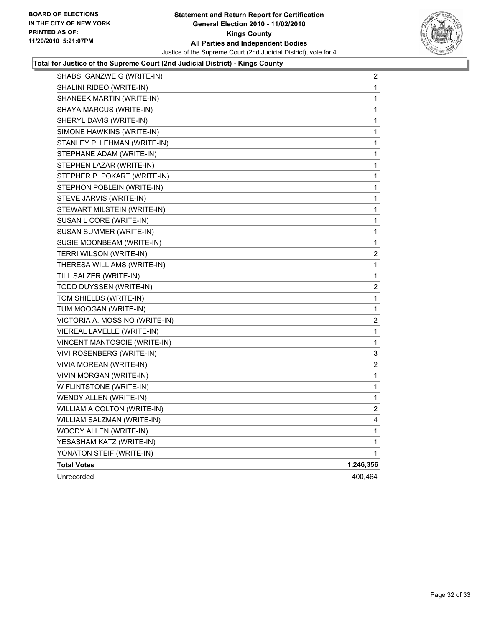

| SHABSI GANZWEIG (WRITE-IN)     | 2                       |
|--------------------------------|-------------------------|
| SHALINI RIDEO (WRITE-IN)       | 1                       |
| SHANEEK MARTIN (WRITE-IN)      | 1                       |
| SHAYA MARCUS (WRITE-IN)        | 1                       |
| SHERYL DAVIS (WRITE-IN)        | $\mathbf 1$             |
| SIMONE HAWKINS (WRITE-IN)      | 1                       |
| STANLEY P. LEHMAN (WRITE-IN)   | 1                       |
| STEPHANE ADAM (WRITE-IN)       | 1                       |
| STEPHEN LAZAR (WRITE-IN)       | 1                       |
| STEPHER P. POKART (WRITE-IN)   | 1                       |
| STEPHON POBLEIN (WRITE-IN)     | 1                       |
| STEVE JARVIS (WRITE-IN)        | 1                       |
| STEWART MILSTEIN (WRITE-IN)    | 1                       |
| SUSAN L CORE (WRITE-IN)        | 1                       |
| SUSAN SUMMER (WRITE-IN)        | 1                       |
| SUSIE MOONBEAM (WRITE-IN)      | 1                       |
| TERRI WILSON (WRITE-IN)        | $\overline{2}$          |
| THERESA WILLIAMS (WRITE-IN)    | 1                       |
| TILL SALZER (WRITE-IN)         | 1                       |
| TODD DUYSSEN (WRITE-IN)        | $\overline{c}$          |
| TOM SHIELDS (WRITE-IN)         | 1                       |
| TUM MOOGAN (WRITE-IN)          | 1                       |
| VICTORIA A. MOSSINO (WRITE-IN) | $\overline{c}$          |
| VIEREAL LAVELLE (WRITE-IN)     | 1                       |
| VINCENT MANTOSCIE (WRITE-IN)   | 1                       |
| VIVI ROSENBERG (WRITE-IN)      | 3                       |
| VIVIA MOREAN (WRITE-IN)        | 2                       |
| VIVIN MORGAN (WRITE-IN)        | 1                       |
| W FLINTSTONE (WRITE-IN)        | 1                       |
| WENDY ALLEN (WRITE-IN)         | 1                       |
| WILLIAM A COLTON (WRITE-IN)    | $\overline{\mathbf{c}}$ |
| WILLIAM SALZMAN (WRITE-IN)     | 4                       |
| WOODY ALLEN (WRITE-IN)         | 1                       |
| YESASHAM KATZ (WRITE-IN)       | 1                       |
| YONATON STEIF (WRITE-IN)       | 1                       |
| <b>Total Votes</b>             | 1,246,356               |
| Unrecorded                     | 400,464                 |